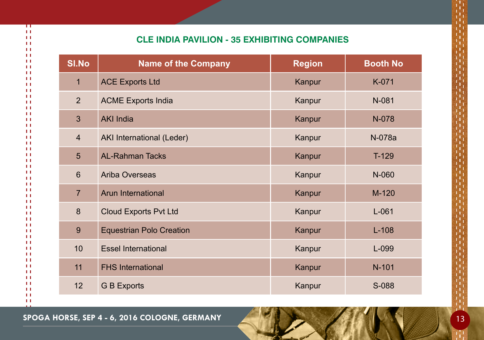## **Cle India Pavilion - 35 Exhibiting companies**

| <b>SI.No</b>   | <b>Name of the Company</b>      | <b>Region</b> | <b>Booth No</b> |
|----------------|---------------------------------|---------------|-----------------|
| $\overline{1}$ | <b>ACE Exports Ltd</b>          | Kanpur        | K-071           |
| $\overline{2}$ | <b>ACME Exports India</b>       | Kanpur        | N-081           |
| $\mathbf{3}$   | <b>AKI India</b>                | Kanpur        | N-078           |
| $\overline{4}$ | AKI International (Leder)       | Kanpur        | N-078a          |
| 5              | <b>AL-Rahman Tacks</b>          | Kanpur        | $T-129$         |
| $6\phantom{1}$ | <b>Ariba Overseas</b>           | Kanpur        | N-060           |
| $\overline{7}$ | Arun International              | Kanpur        | $M-120$         |
| 8              | <b>Cloud Exports Pvt Ltd</b>    | Kanpur        | $L-061$         |
| 9              | <b>Equestrian Polo Creation</b> | Kanpur        | $L-108$         |
| 10             | <b>Essel International</b>      | Kanpur        | L-099           |
| 11             | <b>FHS International</b>        | Kanpur        | $N-101$         |
| 12             | <b>G B Exports</b>              | Kanpur        | S-088           |

**Spoga horse, Sep 4 - 6, 2016 cologne, Germany** 13

π  $\pm 1$  $\overline{1}$  $1.1$  $\pm 1$  $1.1$  $\mathbf{H}$  $11$  $11$  $1.1$  $1.1$  $11$  $11$  $\mathbf{L}$  $1.1$  $1.1$  $11$  $1.1$  $\mathbf{H}$  $11$  $1.1$  $\pm 1$  $1.1$  $11$  $1.1$  $\mathbf{H}$  $1.1$  $11$  $11$  $\mathbf{H}$  $\mathbf{H}$  $11$  $11$  $1.1$  $1.1$  $11$  $1.1$  $\mathbf{H}$  $1.1$  $11$  $1.1$  $\mathbf{H}$  $11$  $11$  $1.1$  $\pm 1$  $1.1$  $11$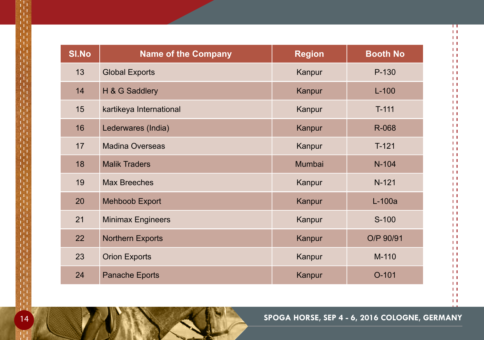| <b>SI.No</b> | <b>Name of the Company</b> | <b>Region</b> | <b>Booth No</b> |
|--------------|----------------------------|---------------|-----------------|
| 13           | <b>Global Exports</b>      | Kanpur        | P-130           |
| 14           | H & G Saddlery             | Kanpur        | $L-100$         |
| 15           | kartikeya International    | Kanpur        | $T-111$         |
| 16           | Lederwares (India)         | Kanpur        | R-068           |
| 17           | <b>Madina Overseas</b>     | Kanpur        | $T-121$         |
| 18           | <b>Malik Traders</b>       | Mumbai        | N-104           |
| 19           | <b>Max Breeches</b>        | Kanpur        | $N-121$         |
| 20           | <b>Mehboob Export</b>      | Kanpur        | $L-100a$        |
| 21           | <b>Minimax Engineers</b>   | Kanpur        | S-100           |
| 22           | <b>Northern Exports</b>    | Kanpur        | O/P 90/91       |
| 23           | <b>Orion Exports</b>       | Kanpur        | M-110           |
| 24           | <b>Panache Eports</b>      | Kanpur        | $O-101$         |

 $\pm 1$  $\pm 1$  $\pm 1$  $\pm 1$  $1.1\,$ 

π  $\pm 1$  $\pm 1$  $1.1\,$  $1.1\,$  $\pm 1$  $\pm 1$  $1.1\,$  $1.1\,$  $\pm 1$  $\pm 1$  $1.1\,$  $1.1\,$  $\pm 1$  $\pm 1$  $1.1\,$  $\pm 1$  $\pm 1$  $\pm 1$  $\pm 1$  $\pm 1$  $\pm 1$  $\pm 1$  $1.1\,$  $\pm 1$  $\pm 1$  $\pm 1$  $\pm 1$  $\pm 1$  $\pm 1$  $\pm 1$  $1.1\,$  $\pm 1$  $\pm 1$  $\pm 1$  $1.1\,$  $\pm 1$  $\pm 1$  $\pm 1$  $1.1\,$  $\pm 1$  $\pm 1$  $\pm 1$ 

**14 <b>SPOGA HORSE, SEP 4 - 6, 2016 COLOGNE, GERMANY**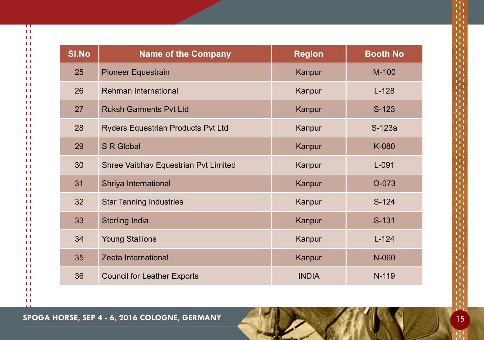| <b>SI.No</b> | <b>Name of the Company</b>           | <b>Region</b> | <b>Booth No</b> |
|--------------|--------------------------------------|---------------|-----------------|
| 25           | <b>Pioneer Equestrain</b>            | Kanpur        | $M-100$         |
| 26           | Rehman International                 | Kanpur        | $L-128$         |
| 27           | <b>Ruksh Garments Pvt Ltd</b>        | Kanpur        | $S-123$         |
| 28           | Ryders Equestrian Products Pvt Ltd   | Kanpur        | S-123a          |
| 29           | <b>S R Global</b>                    | Kanpur        | K-080           |
| 30           | Shree Vaibhav Equestrian Pvt Limited | Kanpur        | $L-091$         |
| 31           | Shriya International                 | Kanpur        | O-073           |
| 32           | <b>Star Tanning Industries</b>       | Kanpur        | $S-124$         |
| 33           | <b>Sterling India</b>                | Kanpur        | S-131           |
| 34           | <b>Young Stallions</b>               | Kanpur        | $L - 124$       |
| 35           | Zeeta International                  | Kanpur        | N-060           |
| 36           | <b>Council for Leather Exports</b>   | <b>INDIA</b>  | N-119           |

π  $\pm 1$  $\pm 1$  $\pm 1$  $\pm 1$  $\pm 1$  $\pm 1$  $\pm 1$  $\pm 1$  $\pm 1$  $\pm 1$  $\pm 1$  $\pm1$  $\pm 1$  $\pm 1$  $\pm 1$  $\pm1$  $\pm 1$  $\pm 1$  $1.1\,$  $\pm 1$  $\pm 1$  $\pm 1$  $\pm 1$  $\pm 1$  $\pm 1$  $\pm 1$  $\pm 1$  $\pm 1$  $\pm 1$  $\pm 1$  $\pm 1$  $\pm 1$  $\pm 1$  $\pm 1$  $\pm 1$  $\pm 1$  $\pm 1$  $\pm 1$  $\pm 1$  $\pm 1$  $\pm 1$  $\pm 1$ 

**SPOGA HORSE, SEP 4 - 6, 2016 COLOGNE, GERMANY AND A LAND SECTION AND A LAND SPOGA HORSE, SEP 4 - 6, 2016 COLOGNE, GERMANY**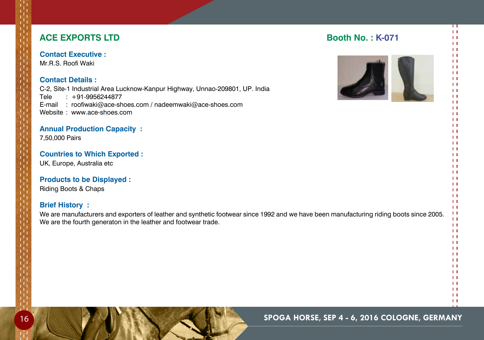## **ACE EXPORTS LTD Booth No. : K-071**

## **Contact Executive :**

Mr.R.S. Roofi Waki

## **Contact Details :**

C-2, Site-1 Industrial Area Lucknow-Kanpur Highway, Unnao-209801, Up. India Tele : +91-9956244877 E-mail : roofiwaki@ace-shoes.com / nadeemwaki@ace-shoes.com Website : www.ace-shoes.com

## **Annual Production Capacity :**

7,50,000 Pairs

## **Countries to Which Exported :**

Uk, Europe, Australia etc

#### **Products to be Displayed :**

Riding Boots & Chaps

## **Brief History :**

We are manufacturers and exporters of leather and synthetic footwear since 1992 and we have been manufacturing riding boots since 2005. We are the fourth generaton in the leather and footwear trade.



П  $1.1$  $\mathbf{H}$  $1.1$  $\overline{1}$  $11$  $\mathbf{H}$  $\mathbf{1}$  $\mathbf{L}$  $\mathbf{1}$  $\mathbf{H}$  $\mathbf{1}$  $\overline{1}$  $\mathbf{1}$  $11$  $1.1$  $11$  $\mathbf{1}$  $\mathbf{L}$  $\mathbf{H}$  $11$  $\mathbf{L}$  $\mathbf{L}$  $1.1$  $\mathbf{L}$  $\mathbf{L}$  $11$  $\mathbf{H}$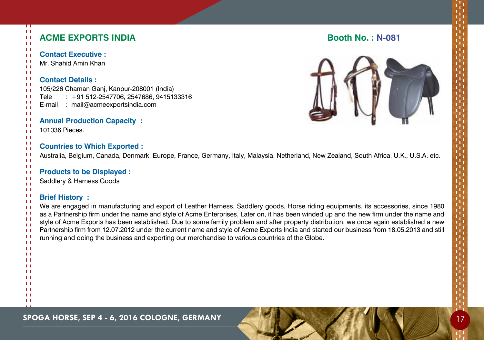| <b>ACME EXPORTS INDIA</b>                                                                                                                                                                                                                                                                                                                                                                                                                                                                                                                                                                                                                                                                           | <b>Booth No.: N-081</b> |
|-----------------------------------------------------------------------------------------------------------------------------------------------------------------------------------------------------------------------------------------------------------------------------------------------------------------------------------------------------------------------------------------------------------------------------------------------------------------------------------------------------------------------------------------------------------------------------------------------------------------------------------------------------------------------------------------------------|-------------------------|
| <b>Contact Executive:</b><br>Mr. Shahid Amin Khan                                                                                                                                                                                                                                                                                                                                                                                                                                                                                                                                                                                                                                                   |                         |
| <b>Contact Details:</b><br>105/226 Chaman Ganj, Kanpur-208001 (India)<br>: +91 512-2547706, 2547686, 9415133316<br>Tele<br>: mail@acmeexportsindia.com<br>E-mail                                                                                                                                                                                                                                                                                                                                                                                                                                                                                                                                    |                         |
| <b>Annual Production Capacity:</b><br>101036 Pieces.                                                                                                                                                                                                                                                                                                                                                                                                                                                                                                                                                                                                                                                |                         |
| <b>Countries to Which Exported:</b><br>Australia, Belgium, Canada, Denmark, Europe, France, Germany, Italy, Malaysia, Netherland, New Zealand, South Africa, U.K., U.S.A. etc.                                                                                                                                                                                                                                                                                                                                                                                                                                                                                                                      |                         |
| <b>Products to be Displayed:</b><br>Saddlery & Harness Goods                                                                                                                                                                                                                                                                                                                                                                                                                                                                                                                                                                                                                                        |                         |
| <b>Brief History:</b><br>We are engaged in manufacturing and export of Leather Harness, Saddlery goods, Horse riding equipments, its accessories, since 1980<br>as a Partnership firm under the name and style of Acme Enterprises, Later on, it has been winded up and the new firm under the name and<br>style of Acme Exports has been established. Due to some family problem and after property distribution, we once again established a new<br>Partnership firm from 12.07.2012 under the current name and style of Acme Exports India and started our business from 18.05.2013 and still<br>running and doing the business and exporting our merchandise to various countries of the Globe. |                         |
|                                                                                                                                                                                                                                                                                                                                                                                                                                                                                                                                                                                                                                                                                                     |                         |
|                                                                                                                                                                                                                                                                                                                                                                                                                                                                                                                                                                                                                                                                                                     |                         |
|                                                                                                                                                                                                                                                                                                                                                                                                                                                                                                                                                                                                                                                                                                     |                         |

**SPOGA HORSE, SEP 4 - 6, 2016 COLOGNE, GERMANY 4 - 17 20 17 20 17 20 17 20 17 20 17 20 17 20 17 20 17 20 17 20 17** 

π  $\pm 1$  $\overline{11}$  $\pm 1$  $\pm 1$  $\pm 1$  $\pm 1$  $\pm 1$  $\pm 1$  $\pm 1$  $\pm 1$  $\pm 1$  $\pm1$  $\pm 1$  $\pm 1$  $\pm 1$  $\pm 1$  $\pm 1$  $\pm 1$  $\pm 1$  $\pm 1$  $\pm 1$  $\pm 1$  $\pm 1$  $\pm 1$  $\pm 1$  $\pm 1$  $\pm 1$  $\pm 1$  $\pm 1$  $\pm 1$  $\pm 1$  $\pm 1$  $\pm 1$  $\pm 1$  $\pm 1$  $\pm 1$  $\pm 1$  $\pm 1$  $\pm 1$  $\pm 1$  $\pm 1$  $\pm 1$  $\pm 1$  $\pm 1$  $\pm 1$  $\frac{1}{1}$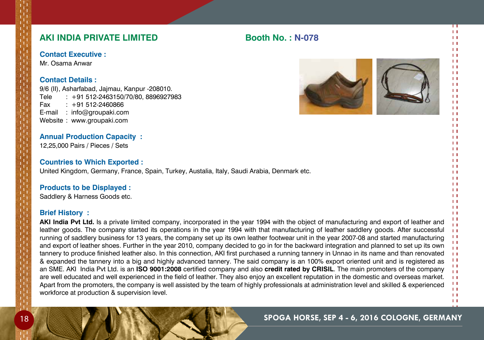## **AKI INDIA PRIVATE LIMITED Booth No. : N-078**

**Contact Executive :**

Mr. Osama Anwar

## **Contact Details :**

9/6 (Ii), Asharfabad, Jajmau, Kanpur -208010. Tele : +91 512-2463150/70/80, 8896927983 Fax : +91 512-2460866 E-mail : info@groupaki.com Website : www.groupaki.com

## **Annual Production Capacity :**

12,25,000 Pairs / Pieces / Sets

#### **Countries to Which Exported :**

United Kingdom, Germany, France, Spain, Turkey, Austalia, Italy, Saudi Arabia, Denmark etc.

## **Products to be Displayed :**

Saddlery & Harness Goods etc.

## **Brief History :**

**AKI India Pvt Ltd.** Is a private limited company, incorporated in the year 1994 with the object of manufacturing and export of leather and leather goods. The company started its operations in the year 1994 with that manufacturing of leather saddlery goods. After successful running of saddlery business for 13 years, the company set up its own leather footwear unit in the year 2007-08 and started manufacturing  $\mathbf{H}$  $\mathbf{H}$ and export of leather shoes. Further in the year 2010, company decided to go in for the backward integration and planned to set up its own  $\mathbf{L}$ tannery to produce finished leather also. In this connection, AKI first purchased a running tannery in Unnao in its name and than renovated  $11$  $1.1$ & expanded the tannery into a big and highly advanced tannery. The said company is an 100% export oriented unit and is registered as  $\overline{1}$ an SME. AKI India Pvt Ltd. is an **ISO 9001:2008** certified company and also **credit rated by CRISIL**. The main promoters of the company  $1.1$ are well educated and well experienced in the field of leather. They also enjoy an excellent reputation in the domestic and overseas market.  $11$  $1.1$ Apart from the promoters, the company is well assisted by the team of highly professionals at administration level and skilled & experienced  $\mathbf{H}$ workforce at production & supervision level. $11$ 





 $\mathbf{H}$ 

П  $11$  $\mathbf{1}$  $\mathbf{1}$  $\mathbf{L}$  $\mathbf{1}$  $\mathbf{1}$  $\mathbf{1}$  $\mathbf{L}$  $\mathbf{1}$  $\mathbf{H}$  $\mathbf{H}$  $\mathbf{L}$  $\mathbf{1}$  $\mathbf{H}$  $\mathbf{1}$  $\overline{1}$  $\mathbf{1}$  $\mathbf{L}$  $\mathbf{1}$  $\mathbf{L}$  $\mathbf{1}$  $\mathbf{H}$  $\mathbf{1}$  $\mathbf{L}$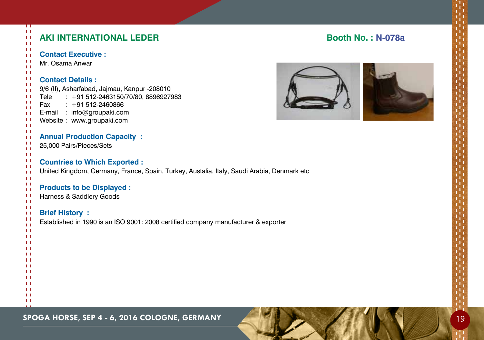| п<br>$\mathbf{L}$<br>$\mathbf{L}$<br>$\mathbf{L}$                                | <b>AKI INTERNATIONAL LEDER</b>                                                                                                                                                                                    | Bo |
|----------------------------------------------------------------------------------|-------------------------------------------------------------------------------------------------------------------------------------------------------------------------------------------------------------------|----|
| Ħ<br>$\mathbf{L}$<br>Ħ<br>$\mathbf{L}$                                           | <b>Contact Executive:</b><br>Mr. Osama Anwar                                                                                                                                                                      |    |
| 11<br>п<br>$\mathbf{L}$<br>$\mathbf{L}$<br>п<br>п<br>Ħ<br>$\mathbf{L}$<br>Ħ<br>Ħ | <b>Contact Details:</b><br>9/6 (II), Asharfabad, Jajmau, Kanpur -208010<br>$: +91512 - 2463150/70/80, 8896927983$<br>Tele<br>Fax<br>$: +91512-2460866$<br>E-mail : info@groupaki.com<br>Website: www.groupaki.com |    |
| TТ<br>Ħ<br>п<br>$\mathbf{L}$                                                     | <b>Annual Production Capacity:</b><br>25,000 Pairs/Pieces/Sets                                                                                                                                                    |    |
| Ħ<br>п<br>$\mathbf{L}$<br>$\mathbf{H}$                                           | <b>Countries to Which Exported:</b><br>United Kingdom, Germany, France, Spain, Turkey, Austalia, Italy, Saudi Arabia, Denmark etc                                                                                 |    |
| $\mathbf{L}$<br>Ħ<br>$\mathbf{L}$<br>п<br>$\mathbf{L}$                           | <b>Products to be Displayed:</b><br>Harness & Saddlery Goods                                                                                                                                                      |    |
| 11<br>Ħ<br>H<br>Ħ<br>$\mathbf{L}$<br>TТ                                          | <b>Brief History:</b><br>Established in 1990 is an ISO 9001: 2008 certified company manufacturer & exporter                                                                                                       |    |
| H<br>$\mathbf{L}$<br>$\mathbf{L}$<br>TТ<br>$\mathbf{L}$                          |                                                                                                                                                                                                                   |    |
| TТ<br>$\mathbf{L}$<br>TТ<br>H<br>TТ                                              |                                                                                                                                                                                                                   |    |
| Ħ<br>$\mathbf{r}$                                                                |                                                                                                                                                                                                                   |    |

## **Andram No. : N-078a**

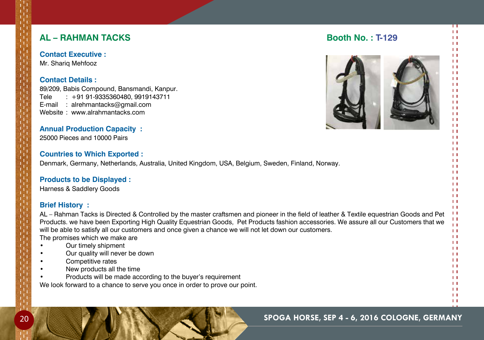## **AL – RAHMAN TACKS Booth No. : T-129**

**Contact Executive :** Mr. Shariq Mehfooz

## **Contact Details :**

89/209, Babis Compound, Bansmandi, Kanpur. Tele : +91 91-9335360480, 9919143711 E-mail : alrehmantacks@gmail.com Website : www.alrahmantacks.com

## **Annual Production Capacity :**

25000 Pieces and 10000 Pairs

#### **Countries to Which Exported :**

Denmark, Germany, Netherlands, Australia, United Kingdom, USA, Belgium, Sweden, Finland, Norway.

#### **Products to be Displayed :**

Harness & Saddlery Goods

## **Brief History :**

AL – Rahman Tacks is Directed & Controlled by the master craftsmen and pioneer in the field of leather & Textile equestrian Goods and Pet Products. we have been Exporting High Quality Equestrian Goods, Pet Products fashion accessories. We assure all our Customers that we will be able to satisfy all our customers and once given a chance we will not let down our customers.

The promises which we make are

- Our timely shipment
- Our quality will never be down
- Competitive rates
- New products all the time
- Products will be made according to the buyer's requirement

We look forward to a chance to serve you once in order to prove our point.



П  $11$  $11$  $\mathbf{L}$  $\overline{1}$  $\mathbf{1}$  $\mathbf{1}$  $\mathbf{1}$  $\mathbf{L}$  $\mathbf{1}$  $\mathbf{H}$  $\mathbf{H}$  $11$  $11$  $11$  $1.1$  $\mathbf{L}$  $\mathbf{1}$  $\mathbf{L}$  $\mathbf{1}$  $\mathbf{L}$  $\mathbf{1}$  $\mathbf{H}$  $\mathbf{1}$  $\mathbf{L}$  $\mathbf{L}$  $\mathbf{L}$  $\mathbf{1}$  $\mathbf{L}$  $\overline{1}$  $11$  $\mathbf{H}$  $1.1$  $\overline{1}$  $\mathbf{L}$  $1.1$  $11$  $\mathbf{1}$  $\mathbf{L}$  $\mathbf{L}$  $\mathbf{1}$  $\mathbf{1}$  $\mathbf{1}$  $\mathbf{1}$  $11$  $\mathbf{H}$  $11$  $\mathbf{H}$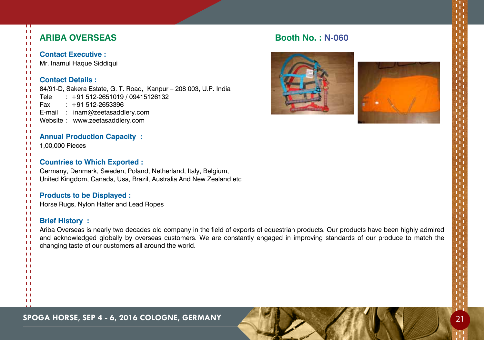| Π<br>$\mathbf{L}$<br>$\mathbf{L}$<br>$\mathbf{L}$                                                                                                             | <b>ARIBA OVERSEAS</b>                                                                                                                                                                                                                                                                                                                                     | <b>Booth No.: N-060</b> |
|---------------------------------------------------------------------------------------------------------------------------------------------------------------|-----------------------------------------------------------------------------------------------------------------------------------------------------------------------------------------------------------------------------------------------------------------------------------------------------------------------------------------------------------|-------------------------|
| -11<br>$\mathbf{L}$<br>$\mathbf{L}$<br>$\mathbf{L}$<br>$\pm 1$<br>-11<br>$\mathbf{H}$<br>$\mathbf{L}$<br>-11<br>H<br>H<br>$\mathbf{L}$<br>-11<br>$\mathbf{L}$ | <b>Contact Executive:</b><br>Mr. Inamul Haque Siddiqui<br><b>Contact Details:</b><br>84/91-D, Sakera Estate, G. T. Road, Kanpur - 208 003, U.P. India<br>$: +91512-2651019/09415126132$<br>Tele<br>$: +91512-2653396$<br>Fax<br>E-mail : inam@zeetasaddlery.com<br>Website: www.zeetasaddlery.com                                                         |                         |
| $\mathbf{L}$<br>$\mathbf{L}$<br>ТI<br>$\mathbf{L}$                                                                                                            | <b>Annual Production Capacity:</b><br>1,00,000 Pieces                                                                                                                                                                                                                                                                                                     |                         |
| $\mathbf{L}$<br>H<br>$\mathbf{L}$<br>$\mathbf{L}$<br>$\mathbf{L}$<br>Ħ                                                                                        | <b>Countries to Which Exported:</b><br>Germany, Denmark, Sweden, Poland, Netherland, Italy, Belgium,<br>United Kingdom, Canada, Usa, Brazil, Australia And New Zealand etc                                                                                                                                                                                |                         |
| $\pm 1$<br>ТT<br>$\mathbf{L}$<br>$\mathbf{L}$                                                                                                                 | <b>Products to be Displayed:</b><br>Horse Rugs, Nylon Halter and Lead Ropes                                                                                                                                                                                                                                                                               |                         |
| $\pm 1$<br>-14<br>$\mathbf{L}$<br>$\pm 1$<br>$\pm$<br>ТI<br>$\mathbf{L}$                                                                                      | <b>Brief History:</b><br>Ariba Overseas is nearly two decades old company in the field of exports of equestrian products. Our products have been highly admired<br>and acknowledged globally by overseas customers. We are constantly engaged in improving standards of our produce to match the<br>changing taste of our customers all around the world. |                         |
| $\mathbf{H}$<br>$\mathbf{L}$<br>$\mathbf{L}$<br>Ħ<br>$\mathbf{L}$<br>Ħ                                                                                        |                                                                                                                                                                                                                                                                                                                                                           |                         |
| H<br>$\mathbf{L}$<br>$\mathbf{L}$                                                                                                                             |                                                                                                                                                                                                                                                                                                                                                           |                         |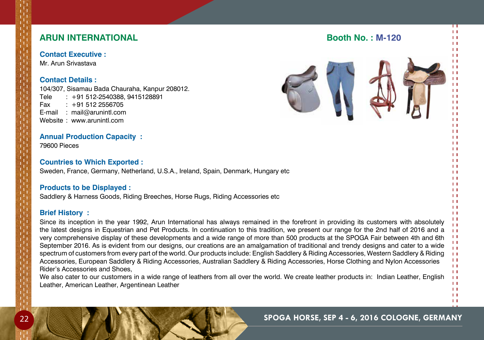| <b>ARUN INTERNATIONAL</b>                                                                                                                                                                                                                                                                                                                                                                                                                           | <b>Booth No.: M-120</b> |
|-----------------------------------------------------------------------------------------------------------------------------------------------------------------------------------------------------------------------------------------------------------------------------------------------------------------------------------------------------------------------------------------------------------------------------------------------------|-------------------------|
| <b>Contact Executive:</b><br>Mr. Arun Srivastava<br><b>Contact Details:</b><br>104/307, Sisamau Bada Chauraha, Kanpur 208012.<br>$: +91512 - 2540388, 9415128891$<br>Tele<br>$: +915122556705$<br>Fax<br>: mail@arunintl.com<br>E-mail<br>Website: www.arunintl.com                                                                                                                                                                                 |                         |
| <b>Annual Production Capacity:</b><br>79600 Pieces                                                                                                                                                                                                                                                                                                                                                                                                  |                         |
| <b>Countries to Which Exported:</b><br>Sweden, France, Germany, Netherland, U.S.A., Ireland, Spain, Denmark, Hungary etc                                                                                                                                                                                                                                                                                                                            |                         |
| <b>Products to be Displayed:</b><br>Saddlery & Harness Goods, Riding Breeches, Horse Rugs, Riding Accessories etc                                                                                                                                                                                                                                                                                                                                   |                         |
| <b>Brief History:</b><br>Since its inception in the year 1992, Arun International has always remained in the forefront in providing its customers with absolutely<br>the latest designs in Equestrian and Pet Products. In continuation to this tradition, we present our range for the 2nd half of 2016 and a<br>very comprehensive display of these developments and a wide range of mere than 500 products at the CDOCA Fair between 4th and 6th |                         |

very comprehensive display of these developments and a wide range of more than 500 products at the SPOGA Fair between 4th and 6th September 2016. As is evident from our designs, our creations are an amalgamation of traditional and trendy designs and cater to a wide spectrum of customers from every part of the world. Our products include: English Saddlery & Riding Accessories, Western Saddlery & Riding Accessories, European Saddlery & Riding Accessories, Australian Saddlery & Riding Accessories, Horse Clothing and Nylon Accessories Rider's Accessories and Shoes,

We also cater to our customers in a wide range of leathers from all over the world. We create leather products in: Indian Leather, English Leather, American Leather, Argentinean Leather

## 22 **Spoga horse, Sep 4 - 6, 2016 cologne, Germany**

 $\mathbf{H}$  $\mathbf{1}$  $11$  $1.1$  $\mathbf{H}$  $11$  $\pm 1$  $11$  $\mathbf{H}$  $11$  $11$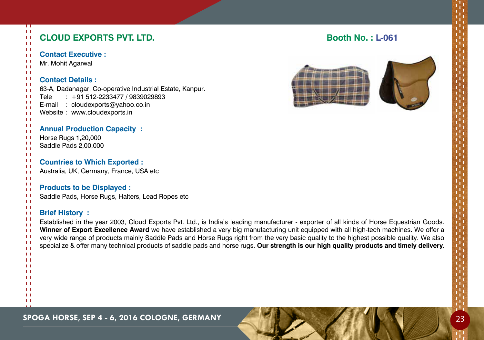| <b>CLOUD EXPORTS PVT. LTD.</b>                                                                                                            | <b>Booth No.: L-061</b> |
|-------------------------------------------------------------------------------------------------------------------------------------------|-------------------------|
| <b>Contact Executive:</b>                                                                                                                 |                         |
| Mr. Mohit Agarwal                                                                                                                         |                         |
| <b>Contact Details:</b>                                                                                                                   |                         |
| 63-A, Dadanagar, Co-operative Industrial Estate, Kanpur.                                                                                  |                         |
| $: +91512-2233477 / 9839029893$<br>Tele                                                                                                   |                         |
| E-mail : cloudexports@yahoo.co.in<br>Website: www.cloudexports.in                                                                         |                         |
|                                                                                                                                           |                         |
| <b>Annual Production Capacity:</b>                                                                                                        |                         |
| Horse Rugs 1,20,000                                                                                                                       |                         |
| Saddle Pads 2,00,000                                                                                                                      |                         |
| <b>Countries to Which Exported:</b>                                                                                                       |                         |
| Australia, UK, Germany, France, USA etc                                                                                                   |                         |
|                                                                                                                                           |                         |
| <b>Products to be Displayed:</b>                                                                                                          |                         |
| Saddle Pads, Horse Rugs, Halters, Lead Ropes etc                                                                                          |                         |
| <b>Brief History:</b>                                                                                                                     |                         |
| Established in the year 2003, Cloud Exports Pvt. Ltd., is India's leading manufacturer - exporter of all kinds of Horse Equestrian Goods. |                         |
| Winner of Export Excellence Award we have established a very big manufacturing unit equipped with all high-tech machines. We offer a      |                         |
| very wide range of products mainly Saddle Pads and Horse Rugs right from the very basic quality to the highest possible quality. We also  |                         |
| specialize & offer many technical products of saddle pads and horse rugs. Our strength is our high quality products and timely delivery.  |                         |
|                                                                                                                                           |                         |
|                                                                                                                                           |                         |
|                                                                                                                                           |                         |
|                                                                                                                                           |                         |
|                                                                                                                                           |                         |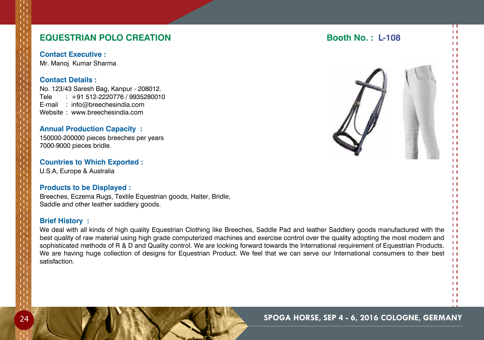## **EQUESTRIAN POLO CREATION Booth No. : L-108**

**Contact Executive :** Mr. Manoj Kumar Sharma

#### **Contact Details :**

No. 123/43 Saresh Bag, Kanpur - 208012. Tele : +91 512-2220776 / 9935280010 E-mail : info@breechesindia.com Website : www.breechesindia.com

#### **Annual Production Capacity :**

150000-200000 pieces breeches per years 7000-9000 pieces bridle.

#### **Countries to Which Exported :**

U.S.A, Europe & Australia

#### **Products to be Displayed :**

Breeches, Eczema Rugs, Textile Equestrian goods, Halter, Bridle, Saddle and other leather saddlery goods.

#### **Brief History :**

We deal with all kinds of high quality Equestrian Clothing like Breeches, Saddle Pad and leather Saddlery goods manufactured with the best quality of raw material using high grade computerized machines and exercise control over the quality adopting the most modern and sophisticated methods of R & D and Quality control. We are looking forward towards the International requirement of Equestrian Products. We are having huge collection of designs for Equestrian Product. We feel that we can serve our International consumers to their best satisfaction.



 $\mathbf{H}$  $11$  $\mathbf{H}$ 

П  $11$  $11$  $\mathbf{L}$  $\overline{1}$  $\mathbf{1}$  $\mathbf{1}$  $\mathbf{1}$  $\mathbf{L}$  $\mathbf{1}$  $\mathbf{H}$  $\mathbf{H}$  $\mathbf{L}$  $\mathbf{1}$  $\mathbf{1}$  $\mathbf{1}$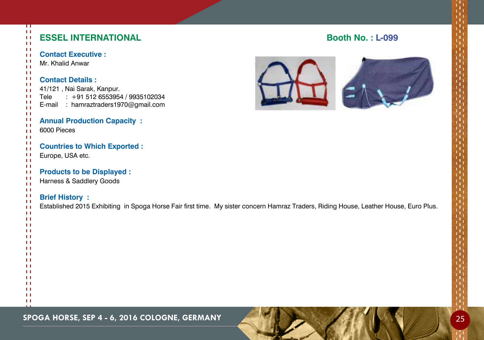| ┯<br>$\mathbf{H}$<br>$\mathbf{L}$<br>11 | <b>ESSEL INTERNATIONAL</b>                                                                                                            | <b>Booth No.: L-099</b> |
|-----------------------------------------|---------------------------------------------------------------------------------------------------------------------------------------|-------------------------|
| -11<br>$\mathbf{L}$                     | <b>Contact Executive:</b>                                                                                                             |                         |
| -11                                     | Mr. Khalid Anwar                                                                                                                      |                         |
| $\mathbf{H}$<br>$\mathbf{L}$            |                                                                                                                                       |                         |
| H                                       | <b>Contact Details:</b>                                                                                                               |                         |
| $\mathbf{L}$<br>$\mathbf{L}$            | 41/121, Nai Sarak, Kanpur.                                                                                                            |                         |
| -11                                     | $: +915126553954 / 9935102034$<br>Tele                                                                                                |                         |
| ТI<br>$\mathbf{H}$                      | E-mail : hamraztraders1970@gmail.com                                                                                                  |                         |
| -11                                     |                                                                                                                                       |                         |
| $\mathbf{L}$<br>$\mathbf{H}$            | <b>Annual Production Capacity:</b>                                                                                                    |                         |
| $\mathbf{L}$                            | 6000 Pieces                                                                                                                           |                         |
| -11<br>H                                |                                                                                                                                       |                         |
| $\mathbf{L}$<br>$\mathbf{L}$            | <b>Countries to Which Exported:</b>                                                                                                   |                         |
| $\mathbf{L}$                            | Europe, USA etc.                                                                                                                      |                         |
| $\mathbf{L}$<br>$\mathbf{H}$            | <b>Products to be Displayed:</b>                                                                                                      |                         |
| $\mathbf{L}$                            | Harness & Saddlery Goods                                                                                                              |                         |
| $\mathbf{H}$<br>$\mathbf{L}$            |                                                                                                                                       |                         |
| -11                                     | <b>Brief History:</b>                                                                                                                 |                         |
| $\mathbf{L}$<br>$\pm$                   | Established 2015 Exhibiting in Spoga Horse Fair first time. My sister concern Hamraz Traders, Riding House, Leather House, Euro Plus. |                         |
| $\mathbf{L}$                            |                                                                                                                                       |                         |
| -11<br>-11                              |                                                                                                                                       |                         |
| -11<br>-11                              |                                                                                                                                       |                         |
| -11                                     |                                                                                                                                       |                         |
| -11<br>$\mathbf{H}$                     |                                                                                                                                       |                         |
| $\mathbf{L}$                            |                                                                                                                                       |                         |
| $\blacksquare$<br>$\mathbf{L}$          |                                                                                                                                       |                         |
| $\blacksquare$                          |                                                                                                                                       |                         |
| $\mathbf{L}$<br>$\mathbf{H}$            |                                                                                                                                       |                         |
| $\mathbf{L}$                            |                                                                                                                                       |                         |
| $\mathbf{L}$                            |                                                                                                                                       |                         |

## **SPOGA HORSE, SEP 4 - 6, 2016 COLOGNE, GERMANY** 25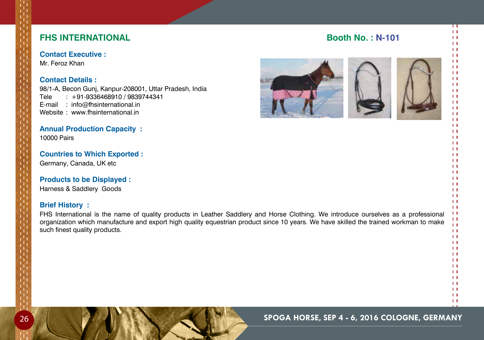## **FHS INTERNATIONAL Booth No. : N-101**

**Contact Executive :** Mr. Feroz Khan

#### **Contact Details :**

98/1-A, Becon Gunj, Kanpur-208001, Uttar Pradesh, India Tele : +91-9336468910 / 9839744341 E-mail : info@fhsinternational.in Website : www.fhsinternational.in

#### **Annual Production Capacity :** 10000 Pairs

### **Countries to Which Exported :** Germany, Canada, Uk etc

## **Products to be Displayed :**

Harness & Saddlery Goods

## **Brief History :**

FHS International is the name of quality products in Leather Saddlery and Horse Clothing. We introduce ourselves as a professional organization which manufacture and export high quality equestrian product since 10 years. We have skilled the trained workman to make such finest quality products.



П  $11$  $\mathbf{H}$  $1.1$  $\mathbf{1}$  $11$  $\mathbf{L}$  $1.1$  $\mathbf{H}$  $11$  $\mathbf{L}$  $1.1$  $11$  $11$  $\mathbf{L}$  $1.1$  $\mathbf{L}$  $11$  $11$  $\mathbf{H}$  $\mathbf{L}$  $\mathbf{1}$  $\mathbf{L}$  $1.1$  $\mathbf{H}$  $\mathbf{H}$  $11$  $\mathbf{H}$  $11$  $\mathbf{L}$  $11$  $\mathbf{H}$  $1.1$  $11$  $\mathbf{L}$  $11$  $11$  $\mathbf{H}$  $11$  $11$  $11$  $\mathbf{H}$  $11$  $\mathbf{L}$  $11$  $\mathbf{H}$  $11$ 

# $\mathbf{L}$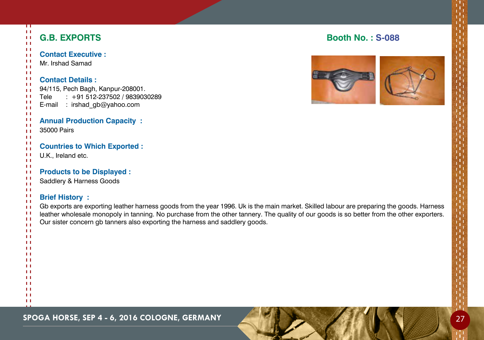| Π<br>$\mathbf{L}$<br>$\mathbf{L}$<br>$\mathbf{L}$                 | <b>G.B. EXPORTS</b>                                                                                                                                                                                                                                                                                                                                                                              | <b>Booth No.: S-088</b> |
|-------------------------------------------------------------------|--------------------------------------------------------------------------------------------------------------------------------------------------------------------------------------------------------------------------------------------------------------------------------------------------------------------------------------------------------------------------------------------------|-------------------------|
| -1<br>$\mathbf{L}$<br>п<br>$\mathbf{L}$                           | <b>Contact Executive:</b><br>Mr. Irshad Samad                                                                                                                                                                                                                                                                                                                                                    |                         |
| 11<br>H<br>11<br>$\mathbf{L}$<br>-1<br>H<br>$\mathbf{L}$          | <b>Contact Details:</b><br>94/115, Pech Bagh, Kanpur-208001.<br>$: +91512-237502 / 9839030289$<br>Tele<br>E-mail<br>: irshad_gb@yahoo.com                                                                                                                                                                                                                                                        |                         |
| $\mathbf{L}$<br>п<br>Ħ<br>$\mathbf{L}$<br>Ħ                       | <b>Annual Production Capacity:</b><br>35000 Pairs                                                                                                                                                                                                                                                                                                                                                |                         |
| $\mathbf{L}$<br>$\mathbf{L}$<br>п<br>Ħ                            | <b>Countries to Which Exported:</b><br>U.K., Ireland etc.                                                                                                                                                                                                                                                                                                                                        |                         |
| $\mathbf{L}$<br>п<br>п<br>$\mathbf{L}$<br>$\mathbf{L}$            | <b>Products to be Displayed:</b><br>Saddlery & Harness Goods                                                                                                                                                                                                                                                                                                                                     |                         |
| п<br>$\mathbf{L}$<br>$\mathbf{L}$<br>Ħ<br>п<br>$\mathbf{L}$<br>ТI | <b>Brief History:</b><br>Gb exports are exporting leather harness goods from the year 1996. Uk is the main market. Skilled labour are preparing the goods. Harness<br>leather wholesale monopoly in tanning. No purchase from the other tannery. The quality of our goods is so better from the other exporters.<br>Our sister concern gb tanners also exporting the harness and saddlery goods. |                         |
| п<br>ш<br>$\mathbf{L}$<br>п<br>п                                  |                                                                                                                                                                                                                                                                                                                                                                                                  |                         |
| п<br>п<br>ш<br>п<br>ш                                             |                                                                                                                                                                                                                                                                                                                                                                                                  |                         |
| $\mathbf{L}$<br>H                                                 |                                                                                                                                                                                                                                                                                                                                                                                                  |                         |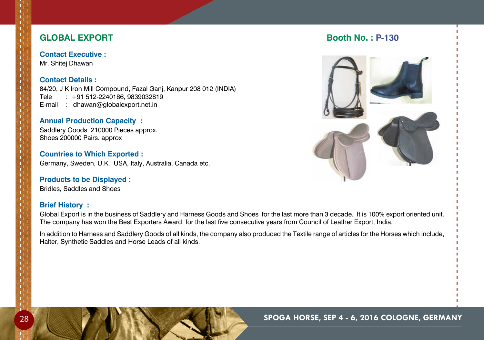## **GLOBAL EXPORT Booth No. : P-130**

**Contact Executive :** Mr. Shitej Dhawan

## **Contact Details :**

84/20, J K Iron Mill Compound, Fazal Ganj, Kanpur 208 012 (INDIA) Tele : +91 512-2240186, 9839032819 E-mail : dhawan@globalexport.net.in

### **Annual Production Capacity :**

Saddlery Goods 210000 Pieces approx. Shoes 200000 Pairs. approx

**Countries to Which Exported :** Germany, Sweden, U.K., USA, Italy, Australia, Canada etc.

## **Products to be Displayed :**

Bridles, Saddles and Shoes

## **Brief History :**

Global Export is in the business of Saddlery and Harness Goods and Shoes for the last more than 3 decade. It is 100% export oriented unit. The company has won the Best Exporters Award for the last five consecutive years from Council of Leather Export, India.

In addition to Harness and Saddlery Goods of all kinds, the company also produced the Textile range of articles for the Horses which include, Halter, Synthetic Saddles and Horse Leads of all kinds.



П  $11$  $\mathbf{H}$  $\mathbf{L}$  $11$  $11$  $\mathbf{H}$  $\mathbf{1}$  $\mathbf{H}$  $\mathbf{1}$  $\mathbf{H}$  $\mathbf{H}$  $\overline{1}$  $\mathbf{1}$  $\mathbf{L}$  $1.1$  $1.1$  $11$  $11$  $\mathbf{H}$  $\mathbf{L}$  $\mathbf{1}$  $\mathbf{L}$  $1.1$  $\mathbf{L}$  $\mathbf{1}$  $\mathbf{L}$  $\mathbf{H}$  $11$  $\mathbf{H}$  $11$  $\mathbf{H}$  $1.1$  $\mathbf{H}$  $\mathbf{H}$  $\mathbf{H}$  $11$  $\mathbf{H}$  $11$  $\mathbf{H}$  $1.1$  $\mathbf{H}$  $\mathbf{1}$  $\mathbf{H}$  $11$  $\mathbf{H}$  $11$  $\mathbf{H}$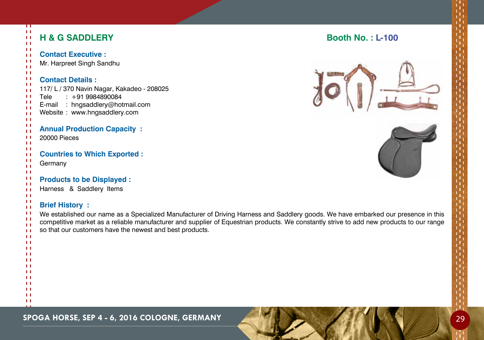| ㅠ<br>$\mathbf{L}$<br>$\mathbf{H}$<br>11                                                                                           | <b>H &amp; G SADDLERY</b>                                                                                                                                                                                                                                                                                                                                           | <b>Booth No.: L-100</b> |
|-----------------------------------------------------------------------------------------------------------------------------------|---------------------------------------------------------------------------------------------------------------------------------------------------------------------------------------------------------------------------------------------------------------------------------------------------------------------------------------------------------------------|-------------------------|
| -11<br>$\mathbf{L}$<br>п<br>Ħ                                                                                                     | <b>Contact Executive:</b><br>Mr. Harpreet Singh Sandhu                                                                                                                                                                                                                                                                                                              |                         |
| $\mathbf{H}$<br>$\mathbf{L}$<br>$\mathbf{L}$<br>$\mathbf{H}$<br>$\mathbf{H}$<br>Ħ<br>$\mathbf{L}$<br>$\mathbf{L}$<br>$\mathbf{H}$ | <b>Contact Details:</b><br>117/ L / 370 Navin Nagar, Kakadeo - 208025<br>$: +919984890084$<br>Tele<br>E-mail<br>: hngsaddlery@hotmail.com<br>Website: www.hngsaddlery.com                                                                                                                                                                                           |                         |
| Ħ<br>$\mathbf{H}$<br>$\mathbf{H}$<br>11                                                                                           | <b>Annual Production Capacity:</b><br>20000 Pieces                                                                                                                                                                                                                                                                                                                  |                         |
| $\mathbf{L}$<br>$\mathbf{L}$<br>п<br>$\mathbf{L}$<br>$\mathbf{L}$                                                                 | <b>Countries to Which Exported:</b><br>Germany                                                                                                                                                                                                                                                                                                                      |                         |
| $\mathbf{L}$<br>Ħ<br>$\mathbf{H}$<br>$\mathbf{L}$                                                                                 | <b>Products to be Displayed:</b><br>Harness & Saddlery Items                                                                                                                                                                                                                                                                                                        |                         |
| 11<br>$\mathbf{H}$<br>- 1<br>Ħ<br>$\mathbf{L}$<br>$\mathbf{H}$                                                                    | <b>Brief History:</b><br>We established our name as a Specialized Manufacturer of Driving Harness and Saddlery goods. We have embarked our presence in this<br>competitive market as a reliable manufacturer and supplier of Equestrian products. We constantly strive to add new products to our range<br>so that our customers have the newest and best products. |                         |
| $\mathbf{L}$<br>$\mathbf{L}$<br>$\mathbf{L}$<br>$\mathbf{H}$<br>$\mathbf{H}$<br>$\mathbf{H}$                                      |                                                                                                                                                                                                                                                                                                                                                                     |                         |
| $\mathbf{H}$<br>$\mathbf{L}$<br>$\mathbf{H}$<br>$\mathbf{L}$<br>$\mathbf{H}$                                                      |                                                                                                                                                                                                                                                                                                                                                                     |                         |
| $\mathbf{L}$                                                                                                                      |                                                                                                                                                                                                                                                                                                                                                                     |                         |

**SPOGA HORSE, SEP 4 - 6, 2016 COLOGNE, GERMANY 29**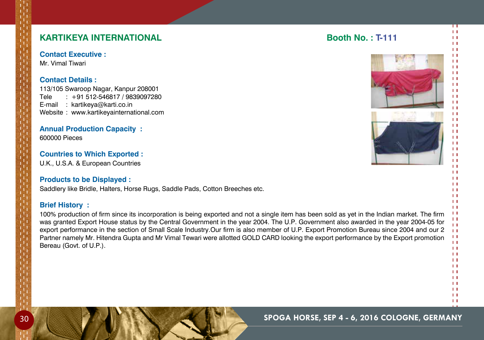## **KARTIKEYA INTERNATIONAL Booth No. : T-111**

**Contact Executive :**

Mr. Vimal Tiwari

### **Contact Details :**

113/105 Swaroop Nagar, Kanpur 208001 Tele : +91 512-546817 / 9839097280 E-mail : kartikeya@karti.co.in Website : www.kartikeyainternational.com

**Annual Production Capacity :** 600000 Pieces

**Countries to Which Exported :** U.K., U.S.A. & European Countries

## **Products to be Displayed :**

Saddlery like Bridle, Halters, Horse Rugs, Saddle Pads, Cotton Breeches etc.

### **Brief History :**

100% production of firm since its incorporation is being exported and not a single item has been sold as yet in the Indian market. The firm was granted Export House status by the Central Government in the year 2004. The U.P. Government also awarded in the year 2004-05 for export performance in the section of Small Scale Industry.Our firm is also member of U.P. Export Promotion Bureau since 2004 and our 2 Partner namely Mr. Hitendra Gupta and Mr Vimal Tewari were allotted GOLD CARD looking the export performance by the Export promotion Bereau (Govt. of U.P.).





 $11$  $\mathbf{H}$ 

П  $11$  $\mathbf{H}$  $\mathbf{H}$  $\overline{1}$  $\mathbf{1}$  $\mathbf{1}$  $\mathbf{1}$  $\mathbf{H}$  $11$  $\mathbf{H}$  $\mathbf{1}$  $\mathbf{L}$  $\mathbf{L}$  $\overline{1}$  $\mathbf{H}$  $\overline{1}$  $\mathbf{1}$  $\mathbf{L}$  $\mathbf{1}$  $\mathbf{L}$  $\mathbf{1}$  $\mathbf{H}$  $\mathbf{1}$  $\overline{1}$  $\mathbf{L}$  $\mathbf{L}$  $\mathbf{1}$  $\mathbf{L}$  $\overline{1}$  $\mathbf{L}$  $\mathbf{H}$  $1.1$  $\overline{1}$  $\mathbf{L}$  $11$  $11$  $\mathbf{H}$  $1.1$  $\mathbf{H}$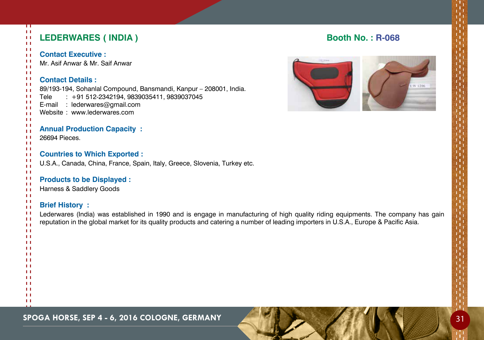| π<br>$\mathbf{L}$<br>$\pm$<br>$\mathbf{H}$                                                             | <b>LEDERWARES (INDIA)</b>                                                                                                                                                                                                                                                                           | <b>Booth No.: R-068</b> |
|--------------------------------------------------------------------------------------------------------|-----------------------------------------------------------------------------------------------------------------------------------------------------------------------------------------------------------------------------------------------------------------------------------------------------|-------------------------|
| -11<br>$\mathbf{L}$<br>-11<br>$\mathbf{L}$                                                             | <b>Contact Executive:</b><br>Mr. Asif Anwar & Mr. Saif Anwar                                                                                                                                                                                                                                        |                         |
| 11<br>$\mathbf{L}$<br>$\mathbf{H}$<br>$\mathbf{L}$<br>-11<br>- 1<br>ТI<br>$\mathbf{L}$<br>$\mathbf{L}$ | <b>Contact Details:</b><br>89/193-194, Sohanlal Compound, Bansmandi, Kanpur - 208001, India.<br>$: +91512 - 2342194, 9839035411, 9839037045$<br>Tele<br>E-mail : lederwares@gmail.com<br>Website: www.lederwares.com                                                                                | W 120                   |
| ТI<br>$\mathbf{L}$<br>ТI<br>$\mathbf{L}$                                                               | <b>Annual Production Capacity:</b><br>26694 Pieces.                                                                                                                                                                                                                                                 |                         |
| -11<br>$\mathbf{L}$<br>-11<br>$\mathbf{L}$<br>Ħ                                                        | <b>Countries to Which Exported:</b><br>U.S.A., Canada, China, France, Spain, Italy, Greece, Slovenia, Turkey etc.                                                                                                                                                                                   |                         |
| -11<br>$\mathbf{L}$<br>$\mathbf{L}$<br>11                                                              | <b>Products to be Displayed:</b><br>Harness & Saddlery Goods                                                                                                                                                                                                                                        |                         |
| $\mathbf{L}$<br>$\mathbf{L}$<br>-11<br>ТI<br>$\mathbf{L}$<br>$\mathbf{L}$                              | <b>Brief History:</b><br>Lederwares (India) was established in 1990 and is engage in manufacturing of high quality riding equipments. The company has gain<br>reputation in the global market for its quality products and catering a number of leading importers in U.S.A., Europe & Pacific Asia. |                         |
| TТ<br>H<br>$\mathbf{L}$<br>TТ<br>п.                                                                    |                                                                                                                                                                                                                                                                                                     |                         |
| - 1<br>1 I<br>ы<br>п<br>TТ                                                                             |                                                                                                                                                                                                                                                                                                     |                         |
| $\mathbf{L}$<br>H                                                                                      |                                                                                                                                                                                                                                                                                                     |                         |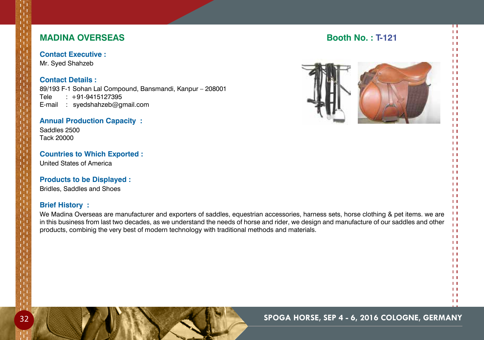## **MADINA OVERSEAS** Booth No. : T-121

## **Contact Executive :**

Mr. Syed Shahzeb

## **Contact Details :**

89/193 F-1 Sohan Lal Compound, Bansmandi, Kanpur – 208001 Tele : +91-9415127395 E-mail : syedshahzeb@gmail.com

#### **Annual Production Capacity :**

Saddles 2500 Tack 20000

## **Countries to Which Exported :**

United States of America

#### **Products to be Displayed :**

Bridles, Saddles and Shoes

## **Brief History :**

We Madina Overseas are manufacturer and exporters of saddles, equestrian accessories, harness sets, horse clothing & pet items. we are in this business from last two decades, as we understand the needs of horse and rider, we design and manufacture of our saddles and other products, combinig the very best of modern technology with traditional methods and materials.

 $11$  $\mathbf{L}$  $1.1$  $11$  $\mathbf{H}$  $11$  $\mathbf{H}$  $1.1$  $\overline{1}$  $\mathbf{1}$  $11$  $11$  $\mathbf{H}$  $11$ 

 $\mathbf{H}$ 

П  $11$  $\mathbf{H}$  $1.1$  $11$  $11$  $\mathbf{L}$  $\mathbf{1}$  $\mathbf{H}$  $11$  $\mathbf{H}$  $\mathbf{1}$  $11$  $\mathbf{1}$  $\mathbf{H}$  $1.1$  $\mathbf{L}$  $11$  $11$  $\mathbf{H}$  $\mathbf{L}$  $\mathbf{1}$  $\mathbf{L}$  $1.1$  $\mathbf{L}$  $\mathbf{L}$  $11$  $\mathbf{H}$  $11$  $\mathbf{H}$  $11$  $\mathbf{H}$  $1.1$ 

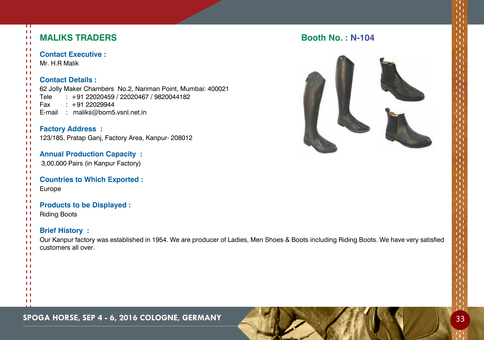| ш<br>$\mathbf{L}$<br>$\pm$<br>$\mathbf{L}$  | <b>MALIKS TRADERS</b>                                                                                                                                              | <b>Booth No.: N-104</b> |
|---------------------------------------------|--------------------------------------------------------------------------------------------------------------------------------------------------------------------|-------------------------|
| $\mathbf{L}$<br>$\mathbf{L}$<br>-11         | <b>Contact Executive:</b>                                                                                                                                          |                         |
| $\mathbf{H}$                                | Mr. H.R Malik                                                                                                                                                      |                         |
| $\mathbf{L}$<br>-1<br>-11<br>-1<br>-11<br>H | <b>Contact Details:</b><br>62 Jolly Maker Chambers No.2, Nariman Point, Mumbai: 400021<br>Tele<br>: +91 22020459 / 22020467 / 9820044182<br>$: +9122029944$<br>Fax |                         |
| $\mathbf{L}$<br>$\mathbf{H}$                | : maliks@bom5.vsnl.net.in<br>E-mail                                                                                                                                |                         |
| $\mathbf{L}$                                |                                                                                                                                                                    |                         |
| ТI<br>$\mathbf{L}$                          | <b>Factory Address:</b>                                                                                                                                            |                         |
| ТI                                          | 123/185, Pratap Ganj, Factory Area, Kanpur-208012                                                                                                                  |                         |
| $\mathbf{H}$<br>-11                         |                                                                                                                                                                    |                         |
| $\mathbf{H}$                                | <b>Annual Production Capacity:</b>                                                                                                                                 |                         |
| -1<br>$\mathbf{L}$                          | 3,00,000 Pairs (in Kanpur Factory)                                                                                                                                 |                         |
| -11                                         |                                                                                                                                                                    |                         |
| $\mathbf{L}$<br>$\mathbf{L}$                | <b>Countries to Which Exported:</b>                                                                                                                                |                         |
| $\mathbf{L}$                                | Europe                                                                                                                                                             |                         |
| $\mathbf{L}$<br>-11                         |                                                                                                                                                                    |                         |
| ТT                                          | <b>Products to be Displayed:</b>                                                                                                                                   |                         |
| Ħ<br>$\mathbf{H}$                           | <b>Riding Boots</b>                                                                                                                                                |                         |
| $\mathbf{L}$                                |                                                                                                                                                                    |                         |
| $\mathbf{H}$<br>-11                         | <b>Brief History:</b>                                                                                                                                              |                         |
| $\mathbf{H}$                                | Our Kanpur factory was established in 1954. We are producer of Ladies, Men Shoes & Boots including Riding Boots. We have very satisfied                            |                         |
| $\mathbf{L}$<br>ТT                          | customers all over.                                                                                                                                                |                         |
| $\mathbf{L}$                                |                                                                                                                                                                    |                         |
| -11<br>$\mathbf{L}$                         |                                                                                                                                                                    |                         |
| -11                                         |                                                                                                                                                                    |                         |
| $\mathbf{L}$                                |                                                                                                                                                                    |                         |
| -11<br>-11                                  |                                                                                                                                                                    |                         |
| $\mathbf{L}$                                |                                                                                                                                                                    |                         |

## **b.** : N-104



**SPOGA HORSE, SEP 4 - 6, 2016 COLOGNE, GERMANY AND A SEP 14 - 6, 2016 COLOGNE, GERMANY**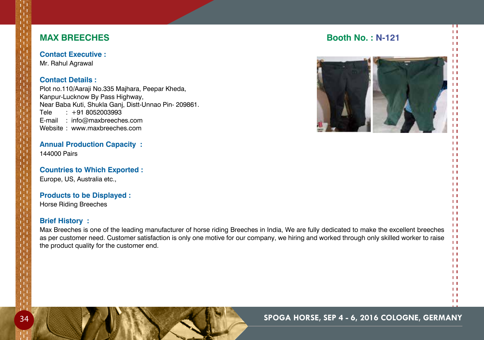**Contact Executive :** Mr. Rahul Agrawal

## **Contact Details :**

Plot no.110/Aaraji No.335 Majhara, Peepar Kheda, Kanpur-Lucknow By Pass Highway, Near Baba Kuti, Shukla Ganj, Distt-Unnao Pin- 209861. Tele : +91 8052003993 E-mail : info@maxbreeches.com Website : www.maxbreeches.com

**Annual Production Capacity :** 144000 Pairs

**Countries to Which Exported :** Europe, US, Australia etc.,

## **Products to be Displayed :**

Horse Riding Breeches

## **Brief History :**

Max Breeches is one of the leading manufacturer of horse riding Breeches in India, We are fully dedicated to make the excellent breeches as per customer need. Customer satisfaction is only one motive for our company, we hiring and worked through only skilled worker to raise the product quality for the customer end.

#### $11$  $\mathbf{L}$

#### $\mathbf{H}$  $11$  $\mathbf{H}$

 $1.1$  $11$  $1.1$  $\mathbf{H}$  $\mathbf{1}$  $\mathbf{H}$  $1.1$ 

П  $1.1$  $\mathbf{H}$  $11$  $\mathbf{1}$ 

 $11$  $\mathbf{1}$  $\mathbf{H}$  $\mathbf{1}$  $\mathbf{L}$  $\mathbf{L}$  $11$  $\mathbf{H}$  $\mathbf{1}$  $\overline{1}$  $\mathbf{L}$  $\mathbf{H}$  $11$  $1.1$  $\mathbf{H}$  $1.1$ 



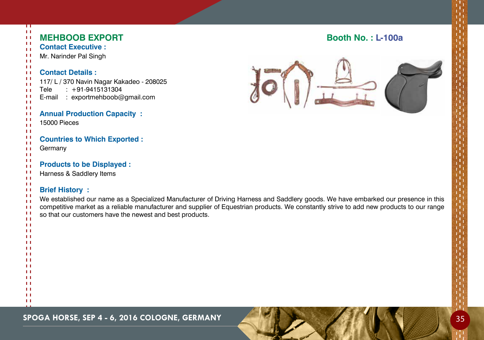| π<br>$\mathbf{L}$            |                                                                                                                                          |                          |
|------------------------------|------------------------------------------------------------------------------------------------------------------------------------------|--------------------------|
| $\mathbf{L}$<br>$\mathbf{H}$ | <b>MEHBOOB EXPORT</b>                                                                                                                    | <b>Booth No.: L-100a</b> |
| $\mathbf{L}$                 | <b>Contact Executive:</b>                                                                                                                |                          |
| $\mathbf{L}$                 | Mr. Narinder Pal Singh                                                                                                                   |                          |
| $\mathbf{H}$<br>$\mathbf{H}$ |                                                                                                                                          |                          |
| $\mathbf{H}$                 | <b>Contact Details:</b>                                                                                                                  |                          |
| $\mathbf{L}$<br>$\mathbf{H}$ | 117/ L / 370 Navin Nagar Kakadeo - 208025                                                                                                |                          |
| $\mathbf{L}$                 | $: +91-9415131304$<br>Tele                                                                                                               |                          |
| $\mathbf{H}$                 | : exportmehboob@gmail.com<br>E-mail                                                                                                      |                          |
| $\mathbf{L}$<br>$\mathbf{H}$ |                                                                                                                                          |                          |
| $\mathbf{L}$                 | <b>Annual Production Capacity:</b>                                                                                                       |                          |
| $\mathbf{H}$<br>$\mathbf{H}$ | 15000 Pieces                                                                                                                             |                          |
| $\mathbf{H}$                 |                                                                                                                                          |                          |
| $\mathbf{L}$                 | <b>Countries to Which Exported:</b>                                                                                                      |                          |
| $\mathbf{H}$<br>$\mathbf{L}$ | Germany                                                                                                                                  |                          |
| $\mathbf{H}$                 |                                                                                                                                          |                          |
| $\mathbf{L}$<br>$\mathbf{L}$ | <b>Products to be Displayed:</b>                                                                                                         |                          |
| $\mathbf{L}$                 | Harness & Saddlery Items                                                                                                                 |                          |
| $\mathbf{H}$                 |                                                                                                                                          |                          |
| -11<br>$\mathbf{L}$          | <b>Brief History:</b>                                                                                                                    |                          |
| $\mathbf{H}$                 | We established our name as a Specialized Manufacturer of Driving Harness and Saddlery goods. We have embarked our presence in this       |                          |
| $\mathbf{H}$<br>$\mathbf{H}$ | competitive market as a reliable manufacturer and supplier of Equestrian products. We constantly strive to add new products to our range |                          |
| $\mathbf{H}$                 | so that our customers have the newest and best products.                                                                                 |                          |
| $\mathbf{L}$                 |                                                                                                                                          |                          |
| $\mathbf{L}$<br>Ħ            |                                                                                                                                          |                          |
| $\mathbf{L}$                 |                                                                                                                                          |                          |
| $\mathbf{L}$<br>$\mathbf{H}$ |                                                                                                                                          |                          |
| Ħ                            |                                                                                                                                          |                          |
| $\mathbf{L}$                 |                                                                                                                                          |                          |
| $\mathbf{H}$<br>$\mathbf{L}$ |                                                                                                                                          |                          |
| $\mathbf{L}$                 |                                                                                                                                          |                          |
| $\mathbf{L}$<br>$\mathbf{L}$ |                                                                                                                                          |                          |
| $\mathbf{L}$                 |                                                                                                                                          |                          |
| $\mathbf{L}$                 |                                                                                                                                          |                          |

## **SPOGA HORSE, SEP 4 - 6, 2016 COLOGNE, GERMANY 35**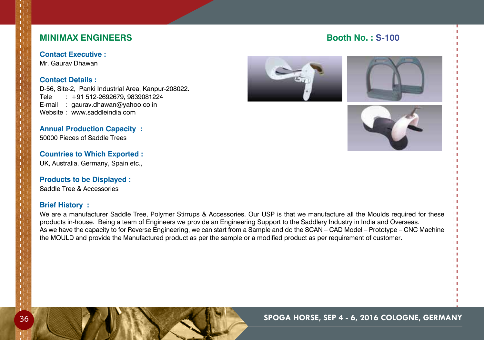## **Minimax Engineers Booth No. : S-100**

**Contact Executive :**

Mr. Gaurav Dhawan

## **Contact Details :**

D-56, Site-2, Panki Industrial Area, Kanpur-208022. Tele : +91 512-2692679, 9839081224 E-mail : gaurav.dhawan@yahoo.co.in Website : www.saddleindia.com

**Annual Production Capacity :** 50000 Pieces of Saddle Trees

**Countries to Which Exported :** UK, Australia, Germany, Spain etc.,

## **Products to be Displayed :**

Saddle Tree & Accessories

## **Brief History :**

We are a manufacturer Saddle Tree, Polymer Stirrups & Accessories. Our USP is that we manufacture all the Moulds required for these products in-house. Being a team of Engineers we provide an Engineering Support to the Saddlery Industry in India and Overseas. As we have the capacity to for Reverse Engineering, we can start from a Sample and do the SCAN – CAD Model – Prototype – CNC Machine the MOULD and provide the Manufactured product as per the sample or a modified product as per requirement of customer.







 $\mathbf{L}$  $\mathbf{H}$  $\mathbf{1}$  $\mathbf{H}$  $\mathbf{1}$  $\mathbf{1}$  $1.1$  $\mathbf{H}$  $11$  $\mathbf{H}$ 

П  $1.1$  $\mathbf{H}$  $\mathbf{H}$  $\overline{1}$  $\mathbf{1}$  $\mathbf{1}$  $\mathbf{1}$  $\mathbf{L}$  $\mathbf{1}$  $\mathbf{H}$  $\mathbf{H}$  $\mathbf{L}$  $\mathbf{1}$  $\mathbf{L}$  $\mathbf{1}$  $\mathbf{L}$  $\mathbf{1}$  $\mathbf{L}$  $\mathbf{1}$  $\mathbf{L}$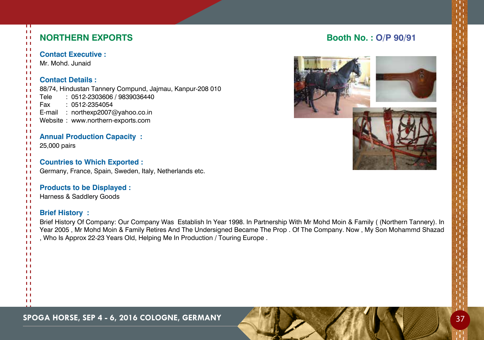| $\pm$<br>$\mathbf{H}$                                                                                                                                                      | Π<br>Ħ<br><b>NORTHERN EXPORTS</b>                                                                                                                                                                                                                                                                                                                                       | <b>Booth No.: O/P 90/91</b> |
|----------------------------------------------------------------------------------------------------------------------------------------------------------------------------|-------------------------------------------------------------------------------------------------------------------------------------------------------------------------------------------------------------------------------------------------------------------------------------------------------------------------------------------------------------------------|-----------------------------|
| $\mathbf{H}$<br>$\mathbf{L}$                                                                                                                                               | <b>Contact Executive:</b>                                                                                                                                                                                                                                                                                                                                               |                             |
| -11<br>$\mathbf{L}$                                                                                                                                                        | Mr. Mohd. Junaid                                                                                                                                                                                                                                                                                                                                                        |                             |
| $\mathbf{H}$<br>-11<br>$\mathbf{L}$<br>$\mathbf{L}$<br>-11<br>$\mathbf{H}$<br>$\mathbf{L}$<br>$\mathbf{L}$<br>-11<br>$\pm$<br>$\mathbf{L}$<br>$\pm$<br>-11<br>$\mathbf{H}$ | <b>Contact Details:</b><br>88/74, Hindustan Tannery Compund, Jajmau, Kanpur-208 010<br>: 0512-2303606 / 9839036440<br>Tele<br>Fax<br>: 0512-2354054<br>E-mail : northexp2007@yahoo.co.in<br>Website: www.northern-exports.com<br><b>Annual Production Capacity:</b><br>25,000 pairs                                                                                     |                             |
| $\mathbf{L}$<br>$\mathbf{L}$<br>$\mathbf{H}$<br>$\mathbf{L}$<br>$\mathbf{L}$                                                                                               | <b>Countries to Which Exported:</b><br>Germany, France, Spain, Sweden, Italy, Netherlands etc.                                                                                                                                                                                                                                                                          |                             |
| $\mathbf{H}$<br>$\mathbf{L}$                                                                                                                                               | <b>Products to be Displayed:</b>                                                                                                                                                                                                                                                                                                                                        |                             |
| $\pm$                                                                                                                                                                      | Harness & Saddlery Goods                                                                                                                                                                                                                                                                                                                                                |                             |
| $\mathbf{H}$<br>-11<br>$\mathbf{L}$<br>$\mathbf{L}$<br>$\mathbf{L}$<br>-11<br>$\perp$                                                                                      | <b>Brief History:</b><br>Brief History Of Company: Our Company Was Establish In Year 1998. In Partnership With Mr Mohd Moin & Family ((Northern Tannery). In<br>Year 2005, Mr Mohd Moin & Family Retires And The Undersigned Became The Prop. Of The Company. Now, My Son Mohammd Shazad<br>, Who Is Approx 22-23 Years Old, Helping Me In Production / Touring Europe. |                             |
| $\mathbf{H}$                                                                                                                                                               | H                                                                                                                                                                                                                                                                                                                                                                       |                             |
| п                                                                                                                                                                          |                                                                                                                                                                                                                                                                                                                                                                         |                             |
| п<br>п                                                                                                                                                                     |                                                                                                                                                                                                                                                                                                                                                                         |                             |
|                                                                                                                                                                            | H                                                                                                                                                                                                                                                                                                                                                                       |                             |
|                                                                                                                                                                            | LТ<br>Ħ                                                                                                                                                                                                                                                                                                                                                                 |                             |
| $\mathbf{L}$<br>$\mathbf{H}$                                                                                                                                               |                                                                                                                                                                                                                                                                                                                                                                         |                             |
|                                                                                                                                                                            |                                                                                                                                                                                                                                                                                                                                                                         |                             |

**Spoga horse, Sep 4 - 6, 2016 cologne, Germany** 37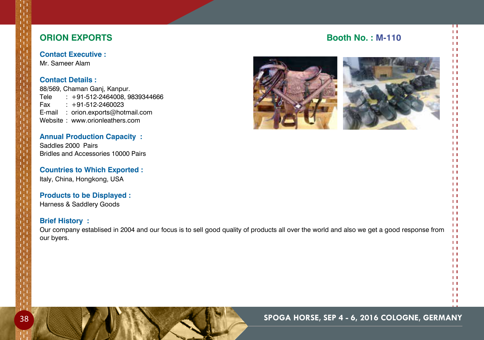## **ORION EXPORTS** Booth No. : M-110

**Contact Executive :** Mr. Sameer Alam

## **Contact Details :**

88/569, Chaman Ganj, Kanpur. Tele : +91-512-2464008, 9839344666 Fax : +91-512-2460023 E-mail : orion.exports@hotmail.com Website : www.orionleathers.com

**Annual Production Capacity :** Saddles 2000 Pairs Bridles and Accessories 10000 Pairs

**Countries to Which Exported :** Italy, China, Hongkong, Usa

## **Products to be Displayed :**

Harness & Saddlery Goods

## **Brief History :**

Our company establised in 2004 and our focus is to sell good quality of products all over the world and also we get a good response from our byers.





П  $11$  $\mathbf{H}$  $1.1$  $\mathbf{1}$  $11$  $\mathbf{L}$  $11$  $\mathbf{H}$  $11$  $\mathbf{L}$  $1.1$  $11$  $11$  $\mathbf{L}$  $1.1$  $1.1$  $11$  $11$  $\mathbf{H}$  $\mathbf{L}$  $\mathbf{1}$  $\mathbf{L}$  $1.1$  $\mathbf{H}$  $\mathbf{H}$  $11$  $\mathbf{H}$  $11$  $\mathbf{L}$  $11$  $\mathbf{H}$  $11$  $\mathbf{H}$  $\mathbf{H}$  $11$  $11$  $\mathbf{L}$  $\mathbf{H}$  $11$  $1.1$  $\mathbf{H}$  $11$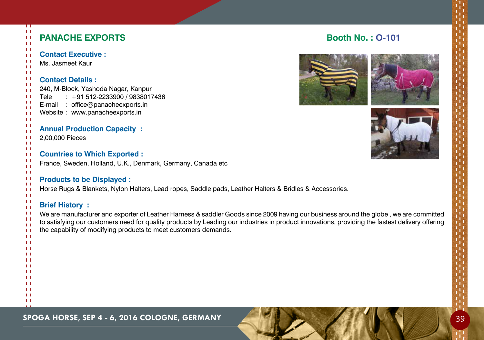| $\mathbf{L}$<br>$\pm$<br>$\mathbf{L}$ | Π       | <b>PANACHE EXPORTS</b>                                                                                                                          | <b>Booth No.: 0-101</b> |
|---------------------------------------|---------|-------------------------------------------------------------------------------------------------------------------------------------------------|-------------------------|
| $\mathbf{L}$<br>$\mathbf{L}$          |         | <b>Contact Executive:</b>                                                                                                                       |                         |
| $\mathbf{L}$<br>$\mathbf{L}$          |         | Ms. Jasmeet Kaur                                                                                                                                |                         |
| $\mathbf{L}$                          |         |                                                                                                                                                 |                         |
| -11<br>$\mathbf{H}$                   |         | <b>Contact Details:</b>                                                                                                                         |                         |
| $\mathbf{L}$                          |         | 240, M-Block, Yashoda Nagar, Kanpur                                                                                                             |                         |
| $\mathbf{H}$<br>-11                   | Tele    | $: +91512 - 2233900 / 9838017436$<br>E-mail : office@panacheexports.in                                                                          |                         |
| H<br>$\mathbf{L}$                     |         | Website: www.panacheexports.in                                                                                                                  |                         |
| $\mathbf{H}$                          |         |                                                                                                                                                 |                         |
| $\mathbf{L}$<br>$\mathbf{L}$          |         | <b>Annual Production Capacity:</b>                                                                                                              |                         |
| -11                                   |         | 2,00,000 Pieces                                                                                                                                 |                         |
| $\mathbf{L}$<br>$\mathbf{L}$          |         |                                                                                                                                                 |                         |
| $\mathbf{H}$<br>$\pm$                 |         | <b>Countries to Which Exported:</b>                                                                                                             |                         |
| $\mathbf{L}$                          |         | France, Sweden, Holland, U.K., Denmark, Germany, Canada etc                                                                                     |                         |
| $\mathbf{H}$<br>-11                   |         | <b>Products to be Displayed:</b>                                                                                                                |                         |
| $\mathbf{L}$                          |         | Horse Rugs & Blankets, Nylon Halters, Lead ropes, Saddle pads, Leather Halters & Bridles & Accessories.                                         |                         |
| $\mathbf{L}$<br>$\mathbf{L}$          |         |                                                                                                                                                 |                         |
| -11<br>$\pm$                          |         | <b>Brief History:</b>                                                                                                                           |                         |
| $\mathbf{L}$                          |         | We are manufacturer and exporter of Leather Harness & saddler Goods since 2009 having our business around the globe, we are committed           |                         |
| $\mathbf{L}$<br>$\mathbf{L}$          |         | to satisfying our customers need for quality products by Leading our industries in product innovations, providing the fastest delivery offering |                         |
| $\mathbf{L}$                          |         | the capability of modifying products to meet customers demands.                                                                                 |                         |
| $\mathbf{L}$                          | H       |                                                                                                                                                 |                         |
|                                       | LТ<br>п |                                                                                                                                                 |                         |
| п                                     |         |                                                                                                                                                 |                         |
| п                                     | п       |                                                                                                                                                 |                         |
|                                       | H       |                                                                                                                                                 |                         |
| п<br>п                                |         |                                                                                                                                                 |                         |
| -11                                   |         |                                                                                                                                                 |                         |
|                                       | H       |                                                                                                                                                 |                         |

**SPOGA HORSE, SEP 4 - 6, 2016 COLOGNE, GERMANY AND A SEP 14 - 6, 2016 COLOGNE, GERMANY**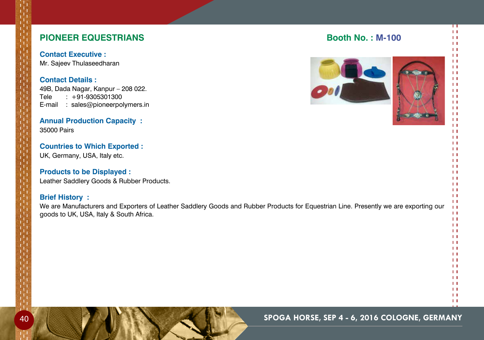## **PIONEER EQUESTRIANS BOOTH AND RESIDENT RESIDENCE ASSESSED ASSOCIATES**

**Contact Executive :** Mr. Sajeev Thulaseedharan

## **Contact Details :**

49B, Dada Nagar, Kanpur – 208 022. Tele : +91-9305301300 E-mail : sales@pioneerpolymers.in

## **Annual Production Capacity :** 35000 Pairs

**Countries to Which Exported :** UK, Germany, USA, Italy etc.

**Products to be Displayed :** Leather Saddlery Goods & Rubber Products.

### **Brief History :**

We are Manufacturers and Exporters of Leather Saddlery Goods and Rubber Products for Equestrian Line. Presently we are exporting our goods to UK, USA, Italy & South Africa.





П  $11$  $\mathbf{H}$  $1.1$  $\mathbf{1}$  $11$  $\mathbf{L}$  $1.1$  $\mathbf{H}$  $11$  $\mathbf{L}$  $1.1$  $11$  $11$  $\mathbf{L}$  $1.1$  $1.1$  $11$  $\mathbf{L}$  $\mathbf{H}$  $\mathbf{L}$  $\mathbf{1}$  $\mathbf{L}$  $1.1$  $\mathbf{H}$  $\mathbf{H}$  $11$  $\mathbf{H}$  $11$  $\mathbf{H}$  $\mathbf{H}$  $11$  $11$  $\mathbf{H}$  $\mathbf{H}$  $\mathbf{H}$  $\mathbf{H}$  $\mathbf{H}$  $\mathbf{H}$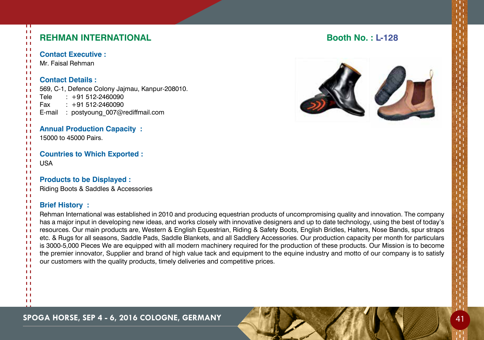| п<br>LΙ<br>LΙ | <b>REHMAN INTERNATIONAL</b>                                                                                                                                                                                                    | <b>Booth No.: L-128</b> |
|---------------|--------------------------------------------------------------------------------------------------------------------------------------------------------------------------------------------------------------------------------|-------------------------|
| LΙ<br>Ĥ       | <b>Contact Executive:</b>                                                                                                                                                                                                      |                         |
| п             | Mr. Faisal Rehman                                                                                                                                                                                                              |                         |
| Ĥ<br>H        |                                                                                                                                                                                                                                |                         |
| H             | <b>Contact Details:</b>                                                                                                                                                                                                        |                         |
| H<br>LΙ       | 569, C-1, Defence Colony Jajmau, Kanpur-208010.                                                                                                                                                                                |                         |
| Ħ             | $: +91512-2460090$<br>Tele                                                                                                                                                                                                     |                         |
| H<br>H        | $: +91512-2460090$<br>Fax                                                                                                                                                                                                      |                         |
| Ĥ             | E-mail : postyoung_007@rediffmail.com                                                                                                                                                                                          |                         |
| Ĥ<br>п        |                                                                                                                                                                                                                                |                         |
| Ĥ<br>П        | <b>Annual Production Capacity:</b>                                                                                                                                                                                             |                         |
| LΙ            | 15000 to 45000 Pairs.                                                                                                                                                                                                          |                         |
| Ħ<br>Ĥ        | <b>Countries to Which Exported:</b>                                                                                                                                                                                            |                         |
| Ĥ             | <b>USA</b>                                                                                                                                                                                                                     |                         |
| ΓT<br>H       |                                                                                                                                                                                                                                |                         |
| П             | <b>Products to be Displayed:</b>                                                                                                                                                                                               |                         |
| Ĥ<br>Ĥ        | Riding Boots & Saddles & Accessories                                                                                                                                                                                           |                         |
| H             |                                                                                                                                                                                                                                |                         |
| П<br>Ĥ        | <b>Brief History:</b>                                                                                                                                                                                                          |                         |
| П             | Rehman International was established in 2010 and producing equestrian products of uncompromising quality and innovation. The company                                                                                           |                         |
| H<br>ÊΤ       | has a major input in developing new ideas, and works closely with innovative designers and up to date technology, using the best of today's                                                                                    |                         |
| ΓT.           | resources. Our main products are, Western & English Equestrian, Riding & Safety Boots, English Bridles, Halters, Nose Bands, spur straps                                                                                       |                         |
| Ĥ.<br>Ĥ       | etc. & Rugs for all seasons, Saddle Pads, Saddle Blankets, and all Saddlery Accessories. Our production capacity per month for particulars                                                                                     |                         |
| ÊΤ            | is 3000-5,000 Pieces We are equipped with all modern machinery required for the production of these products. Our Mission is to become                                                                                         |                         |
| Ĥ<br>H        | the premier innovator, Supplier and brand of high value tack and equipment to the equine industry and motto of our company is to satisfy<br>our customers with the quality products, timely deliveries and competitive prices. |                         |
| LΙ            |                                                                                                                                                                                                                                |                         |
| п             |                                                                                                                                                                                                                                |                         |
|               |                                                                                                                                                                                                                                |                         |
|               |                                                                                                                                                                                                                                |                         |
|               |                                                                                                                                                                                                                                |                         |
|               |                                                                                                                                                                                                                                |                         |

**SPOGA HORSE, SEP 4 - 6, 2016 COLOGNE, GERMANY 41 AND AND ALL AND AND ALL AND AND AND AND AND AND AND AND AND A**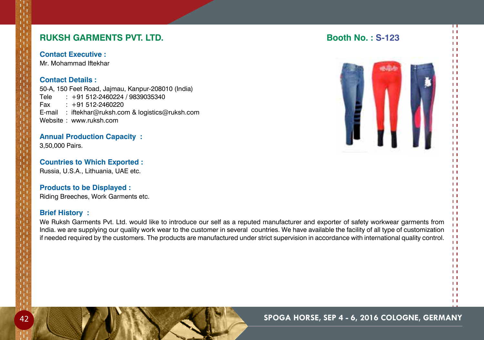## **RUKSH GARMENTS PVT. LTD. Booth No. : S-123**

**Contact Executive :**

Mr. Mohammad Iftekhar

### **Contact Details :**

50-A, 150 Feet Road, Jajmau, Kanpur-208010 (India) Tele : +91 512-2460224 / 9839035340 Fax : +91 512-2460220 E-mail : iftekhar@ruksh.com & logistics@ruksh.com Website : www.ruksh.com

## **Annual Production Capacity :**

3,50,000 Pairs.

## **Countries to Which Exported :**

Russia, U.S.A., Lithuania, UAE etc.

## **Products to be Displayed :**

Riding Breeches, Work Garments etc.

## **Brief History :**

We Ruksh Garments Pvt. Ltd. would like to introduce our self as a reputed manufacturer and exporter of safety workwear garments from India. we are supplying our quality work wear to the customer in several countries. We have available the facility of all type of customization if needed required by the customers. The products are manufactured under strict supervision in accordance with international quality control.



#### $11$  $\mathbf{H}$  $11$

П  $11$  $\mathbf{H}$  $1.1$  $11$  $11$  $\mathbf{H}$  $\mathbf{1}$  $\mathbf{H}$  $11$  $\mathbf{H}$  $1.1$  $11$  $11$  $1.1$  $1.1$  $\mathbf{L}$  $11$  $\mathbf{L}$  $\mathbf{H}$  $\mathbf{L}$  $\mathbf{1}$  $\mathbf{H}$  $\overline{1}$  $\mathbf{L}$  $\mathbf{L}$  $\mathbf{L}$  $\mathbf{H}$  $\mathbf{1}$  $\overline{1}$  $\mathbf{L}$  $\mathbf{H}$  $11$  $\mathbf{H}$  $\mathbf{L}$  $1.1$  $11$  $\mathbf{L}$  $1.1$  $11$  $1.1$  $\overline{1}$  $\mathbf{1}$  $\mathbf{H}$ 

 $\mathbf{H}$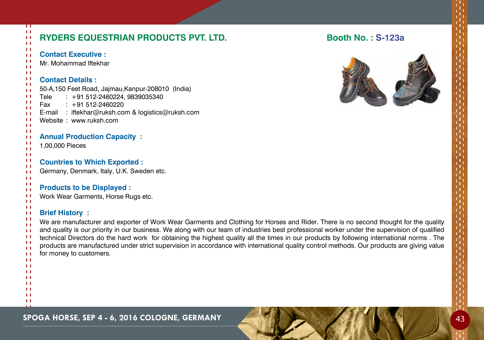|                              | Π            |                                                                                                                                               |                          |
|------------------------------|--------------|-----------------------------------------------------------------------------------------------------------------------------------------------|--------------------------|
| $\pm$<br>$\pm 1$<br>$\pm$    |              | RYDERS EQUESTRIAN PRODUCTS PVT. LTD.                                                                                                          | <b>Booth No.: S-123a</b> |
| $\mathbf{H}$<br>$\pm 1$      |              | <b>Contact Executive:</b>                                                                                                                     |                          |
| $\mathbf{L}$                 |              | Mr. Mohammad Iftekhar                                                                                                                         |                          |
| $\pm$<br>$\pm 1$             |              |                                                                                                                                               |                          |
| $\pm 1$                      |              | <b>Contact Details:</b>                                                                                                                       |                          |
| $\mathbf{H}$<br>$\mathbf{H}$ |              | 50-A,150 Feet Road, Jajmau, Kanpur-208010 (India)                                                                                             |                          |
| $\mathbf{H}$                 |              | $: +91512-2460224, 9839035340$<br>Tele                                                                                                        |                          |
| $\mathbf{L}$<br>$\mathbf{L}$ |              | Fax<br>$: +91512-2460220$                                                                                                                     |                          |
| $\mathbf{H}$                 |              | E-mail : iftekhar@ruksh.com & logistics@ruksh.com                                                                                             |                          |
| $\pm$<br>$\pm$               |              | Website: www.ruksh.com                                                                                                                        |                          |
| $\pm 1$                      |              |                                                                                                                                               |                          |
| $\pm$<br>$\mathbf{H}$        |              | <b>Annual Production Capacity:</b>                                                                                                            |                          |
| $\mathbf{H}$                 |              | 1,00,000 Pieces                                                                                                                               |                          |
| $\mathbf{L}$<br>$\pm$        |              |                                                                                                                                               |                          |
| $\mathbf{H}$                 |              | <b>Countries to Which Exported:</b>                                                                                                           |                          |
| $\pm$<br>$\mathbf{H}$        |              | Germany, Denmark, Italy, U.K. Sweden etc.                                                                                                     |                          |
| $\mathbf{L}$                 |              | <b>Products to be Displayed:</b>                                                                                                              |                          |
| $\mathbf{1}$<br>$\mathbf{H}$ |              | Work Wear Garments, Horse Rugs etc.                                                                                                           |                          |
| $\mathbf{H}$                 |              |                                                                                                                                               |                          |
| $\pm$<br>$\pm 1$             |              | <b>Brief History:</b>                                                                                                                         |                          |
| $\perp$                      |              | We are manufacturer and exporter of Work Wear Garments and Clothing for Horses and Rider. There is no second thought for the quality          |                          |
| $\mathbf{H}$<br>$\mathbf{H}$ |              | and quality is our priority in our business. We along with our team of industries best professional worker under the supervision of qualified |                          |
| $\mathbf{H}$                 |              | technical Directors do the hard work for obtaining the highest quality all the times in our products by following international norms. The    |                          |
| $\mathbf{H}$<br>$\mathbf{L}$ |              | products are manufactured under strict supervision in accordance with international quality control methods. Our products are giving value    |                          |
| $\mathbf{L}$                 |              | for money to customers.                                                                                                                       |                          |
| $\mathbf{L}$                 | $\mathbf{H}$ |                                                                                                                                               |                          |
|                              | $\mathbf{L}$ |                                                                                                                                               |                          |
| TТ                           | LТ           |                                                                                                                                               |                          |
|                              | $\mathbf{L}$ |                                                                                                                                               |                          |
|                              | ΗI<br>Ħ      |                                                                                                                                               |                          |
|                              |              |                                                                                                                                               |                          |

**SPOGA HORSE, SEP 4 - 6, 2016 COLOGNE, GERMANY 43**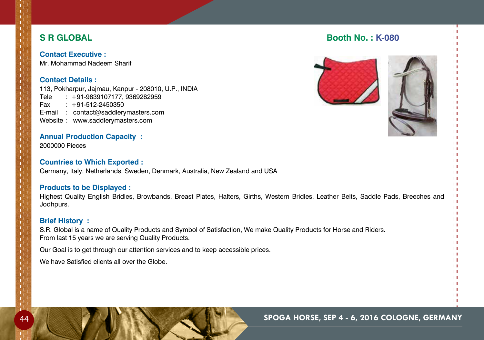## **S R Global Booth No. : K-080**

**Contact Executive :** Mr. Mohammad Nadeem Sharif

## **Contact Details :**

113, Pokharpur, Jajmau, Kanpur - 208010, U.P., INDIA Tele : +91-9839107177, 9369282959 Fax : +91-512-2450350 E-mail : contact@saddlerymasters.com Website : www.saddlerymasters.com

## **Annual Production Capacity :**

2000000 Pieces

### **Countries to Which Exported :**

Germany, Italy, Netherlands, Sweden, Denmark, Australia, New Zealand and USA

## **Products to be Displayed :**

Highest Quality English Bridles, Browbands, Breast Plates, Halters, Girths, Western Bridles, Leather Belts, Saddle Pads, Breeches and Jodhpurs.

## **Brief History :**

S.R. Global is a name of Quality Products and Symbol of Satisfaction, We make Quality Products for Horse and Riders. From last 15 years we are serving Quality Products.

Our Goal is to get through our attention services and to keep accessible prices.

We have Satisfied clients all over the Globe.

## 44 **Spoga horse, Sep 4 - 6, 2016 cologne, Germany**





П  $11$  $\mathbf{H}$  $\mathbf{L}$  $11$  $11$  $11$  $\mathbf{1}$  $\mathbf{H}$  $11$  $\mathbf{H}$  $\mathbf{H}$  $11$  $11$  $\mathbf{L}$  $1.1$  $\mathbf{L}$  $11$  $\mathbf{H}$  $\mathbf{H}$  $\mathbf{L}$  $\mathbf{1}$  $\mathbf{H}$  $\mathbf{H}$  $\mathbf{L}$  $\mathbf{H}$  $11$  $\mathbf{H}$  $11$  $\mathbf{H}$  $11$  $\mathbf{H}$  $11$  $\mathbf{H}$  $11$  $\mathbf{1}$  $\mathbf{H}$  $\mathbf{1}$  $\mathbf{1}$  $\mathbf{H}$  $1.1$  $\mathbf{1}$  $\mathbf{1}$  $\mathbf{H}$  $11$  $\mathbf{H}$  $11$  $\mathbf{L}$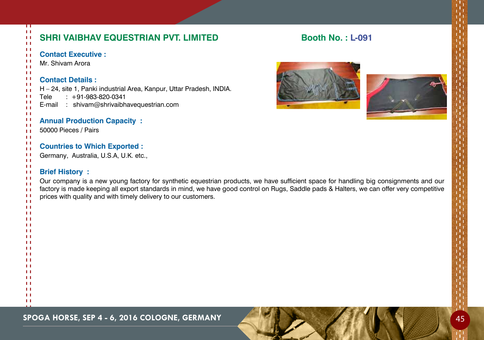| ान<br>$\pm 1$<br>$1\,1$<br>11                                                                      | SHRI VAIBHAV EQUESTRIAN PVT. LIMITED                                                                                                                                                                                                                                                                                                                                        | <b>Booth No.: L-091</b> |  |
|----------------------------------------------------------------------------------------------------|-----------------------------------------------------------------------------------------------------------------------------------------------------------------------------------------------------------------------------------------------------------------------------------------------------------------------------------------------------------------------------|-------------------------|--|
| $\pm 1$<br>$\pm 1$<br>$\pm 1$<br>$\mathbf{H}$                                                      | <b>Contact Executive:</b><br>Mr. Shivam Arora                                                                                                                                                                                                                                                                                                                               |                         |  |
| $\pm 1$<br>$\pm$<br>$\pm 1$<br>$\mathbf{H}$<br>$\mathbf{L}$<br>-1<br>$\pm 1$                       | <b>Contact Details:</b><br>H - 24, site 1, Panki industrial Area, Kanpur, Uttar Pradesh, INDIA.<br>$: +91-983-820-0341$<br>Tele<br>E-mail : shivam@shrivaibhavequestrian.com                                                                                                                                                                                                |                         |  |
| $\mathbf{L}$<br>$\mathbf{H}$<br>$\mathbf{L}$<br>$\pm 1$<br>$\mathbf{L}$                            | <b>Annual Production Capacity:</b><br>50000 Pieces / Pairs                                                                                                                                                                                                                                                                                                                  |                         |  |
| $\mathbf{H}$<br>$\mathbf{L}$<br>$\mathbf{H}$<br>$\pm 1$                                            | <b>Countries to Which Exported:</b><br>Germany, Australia, U.S.A, U.K. etc.,                                                                                                                                                                                                                                                                                                |                         |  |
| $\mathbf{L}$<br>$\mathbf{L}$<br>$\mathbf{H}$<br>$\mathbf{H}$<br>$\mathbf{H}$<br>-1<br>$\mathbf{H}$ | <b>Brief History:</b><br>Our company is a new young factory for synthetic equestrian products, we have sufficient space for handling big consignments and our<br>factory is made keeping all export standards in mind, we have good control on Rugs, Saddle pads & Halters, we can offer very competitive<br>prices with quality and with timely delivery to our customers. |                         |  |
| $\mathbf{H}$<br>$\mathbf{L}$<br>$\mathbf{L}$<br>$\mathbf{L}$<br>$\mathbf{L}$                       |                                                                                                                                                                                                                                                                                                                                                                             |                         |  |
| $\mathbf{L}$<br>11<br>$\mathbf{L}$<br>$\mathbf{L}$<br>$\mathbf{L}$                                 |                                                                                                                                                                                                                                                                                                                                                                             |                         |  |
| $\mathbf{L}$<br>$\mathbf{L}$<br>$\mathbf{L}$<br>$\mathbf{L}$<br>$\mathbf{H}$                       |                                                                                                                                                                                                                                                                                                                                                                             |                         |  |
| $\mathbf{L}$<br>$\mathbf{L}$                                                                       |                                                                                                                                                                                                                                                                                                                                                                             |                         |  |

## **SPOGA HORSE, SEP 4 - 6, 2016 COLOGNE, GERMANY 45**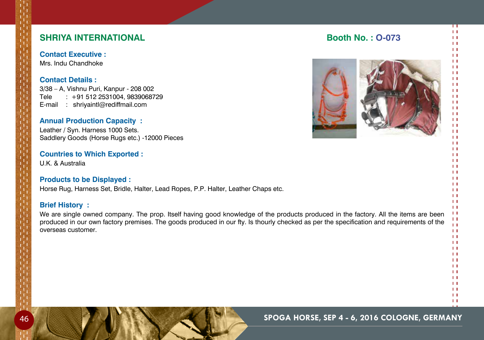## **SHRIYA INTERNATIONAL Booth No. : O-073**

**Contact Executive :** Mrs. Indu Chandhoke

**Contact Details :**

3/38 – A, Vishnu Puri, Kanpur - 208 002 Tele : +91 512 2531004, 9839068729 E-mail : shriyaintl@rediffmail.com

## **Annual Production Capacity :**

Leather / Syn. Harness 1000 Sets. Saddlery Goods (Horse Rugs etc.) -12000 Pieces

### **Countries to Which Exported :**

U.K. & Australia

## **Products to be Displayed :**

Horse Rug, Harness Set, Bridle, Halter, Lead Ropes, P.P. Halter, Leather Chaps etc.

## **Brief History :**

We are single owned company. The prop. Itself having good knowledge of the products produced in the factory. All the items are been produced in our own factory premises. The goods produced in our fty. Is thourly checked as per the specification and requirements of the overseas customer.



П  $11$  $\mathbf{H}$  $1.1$  $\mathbf{1}$  $11$  $\overline{1}$  $\mathbf{1}$  $\mathbf{L}$  $\mathbf{1}$  $\mathbf{H}$  $1.1$  $11$  $11$  $\mathbf{L}$  $1.1$  $\mathbf{L}$  $11$  $\mathbf{L}$  $\mathbf{H}$  $\mathbf{L}$  $\mathbf{1}$  $\mathbf{H}$  $\mathbf{1}$  $\mathbf{L}$  $\mathbf{H}$  $11$  $\mathbf{H}$  $11$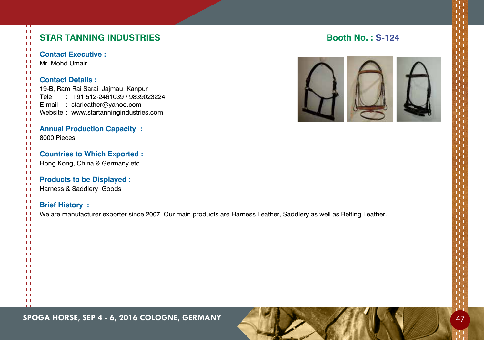| π<br>11<br><b>STAR TANNING INDUSTRIES</b><br>$\mathbf{L}$<br>Ħ                                                                                                                                                                                                     | <b>Booth No.: S-1</b> |
|--------------------------------------------------------------------------------------------------------------------------------------------------------------------------------------------------------------------------------------------------------------------|-----------------------|
| Ħ<br><b>Contact Executive:</b><br>LΙ<br>Ħ<br>Mr. Mohd Umair<br>Ħ                                                                                                                                                                                                   |                       |
| $\mathbf{L}$<br>п<br><b>Contact Details:</b><br>Ħ<br>19-B, Ram Rai Sarai, Jajmau, Kanpur<br>LΙ<br>$: +91512-2461039/9839023224$<br>$\mathbf{L}$<br>Tele<br>п<br>E-mail : starleather@yahoo.com<br>Ħ<br>Website: www.startanningindustries.com<br>Ħ<br>$\mathbf{L}$ |                       |
| Ħ<br><b>Annual Production Capacity:</b><br>LΙ<br>8000 Pieces<br>п<br>$\mathbf{L}$                                                                                                                                                                                  |                       |
| H<br><b>Countries to Which Exported:</b><br>$\mathbf{L}$<br>Ħ<br>Hong Kong, China & Germany etc.<br>H<br>$\mathbf{L}$                                                                                                                                              |                       |
| п<br><b>Products to be Displayed:</b><br>ΗI<br>Harness & Saddlery Goods<br>H<br>Ħ                                                                                                                                                                                  |                       |
| 11<br><b>Brief History:</b><br>$\mathbf{L}$<br>Ħ<br>We are manufacturer exporter since 2007. Our main products are Harness Leather, Saddlery as well as Belting Leather.<br>$\mathbf{L}$<br>H<br>п<br>п<br>п<br>LТ<br>п                                            |                       |
| 11<br>п<br>LТ<br>п<br>LТ<br>п<br>Ħ<br>Ħ                                                                                                                                                                                                                            |                       |

## **SPOGA HORSE, SEP 4 - 6, 2016 COLOGNE, GERMANY 47 AND A 200 A 200 A 200 A 200 A 200 A 200 A 200 A 200 A 200 A 20**

## **Star Tanning Industries Booth No. : S-124**

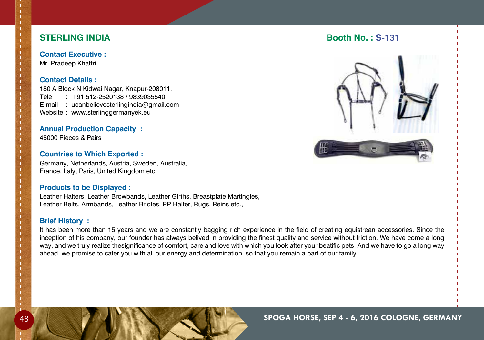## **STERLING INDIA Booth No.: S-131**

**Contact Executive :** Mr. Pradeep Khattri

### **Contact Details :**

180 A Block N Kidwai Nagar, Knapur-208011. Tele : +91 512-2520138 / 9839035540 E-mail : ucanbelievesterlingindia@gmail.com Website : www.sterlinggermanyek.eu

## **Annual Production Capacity :**

45000 Pieces & Pairs

## **Countries to Which Exported :**

Germany, Netherlands, Austria, Sweden, Australia, France, Italy, Paris, United Kingdom etc.

## **Products to be Displayed :**

Leather Halters, Leather Browbands, Leather Girths, Breastplate Martingles, Leather Belts, Armbands, Leather Bridles, Pp Halter, Rugs, Reins etc.,

## **Brief History :**

It has been more than 15 years and we are constantly bagging rich experience in the field of creating equistrean accessories. Since the inception of his company, our founder has always belived in providing the finest quality and service without friction. We have come a long way, and we truly realize thesignificance of comfort, care and love with which you look after your beatific pets. And we have to go a long way ahead, we promise to cater you with all our energy and determination, so that you remain a part of our family.



П  $1.1$  $11$  $\mathbf{H}$  $\overline{1}$  $\mathbf{1}$  $\mathbf{1}$  $\mathbf{1}$  $\mathbf{L}$  $\mathbf{1}$  $\mathbf{H}$  $\mathbf{1}$  $11$  $\mathbf{1}$  $\mathbf{H}$  $\mathbf{1}$  $\overline{1}$  $\mathbf{1}$  $\mathbf{H}$  $\mathbf{1}$  $11$  $\mathbf{1}$  $\mathbf{H}$  $\mathbf{1}$  $\mathbf{L}$  $\mathbf{L}$  $\mathbf{L}$  $\mathbf{1}$  $\mathbf{1}$  $\mathbf{H}$  $\mathbf{L}$  $\mathbf{1}$  $11$  $\mathbf{H}$  $\mathbf{H}$  $1.1$  $11$  $\mathbf{H}$  $\mathbf{L}$  $11$  $1.1$  $\mathbf{H}$  $\mathbf{1}$  $\mathbf{1}$  $1.1$  $\mathbf{H}$  $11$  $\mathbf{H}$ 



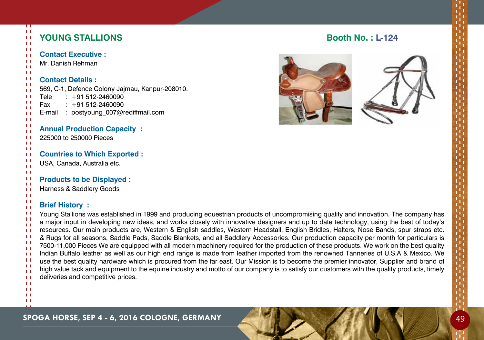## **YOUNG STALLIONS Booth No.: L-124**





## **Brief History :**

Young Stallions was established in 1999 and producing equestrian products of uncompromising quality and innovation. The company has a major input in developing new ideas, and works closely with innovative designers and up to date technology, using the best of today's resources. Our main products are, Western & English saddles, Western Headstall, English Bridles, Halters, Nose Bands, spur straps etc. & Rugs for all seasons, Saddle Pads, Saddle Blankets, and all Saddlery Accessories. Our production capacity per month for particulars is 7500-11,000 Pieces We are equipped with all modern machinery required for the production of these products. We work on the best quality Indian Buffalo leather as well as our high end range is made from leather imported from the renowned Tanneries of U.S.A & Mexico. We use the best quality hardware which is procured from the far east. Our Mission is to become the premier innovator, Supplier and brand of high value tack and equipment to the equine industry and motto of our company is to satisfy our customers with the quality products, timely deliveries and competitive prices.

 $\mathbf{H}$